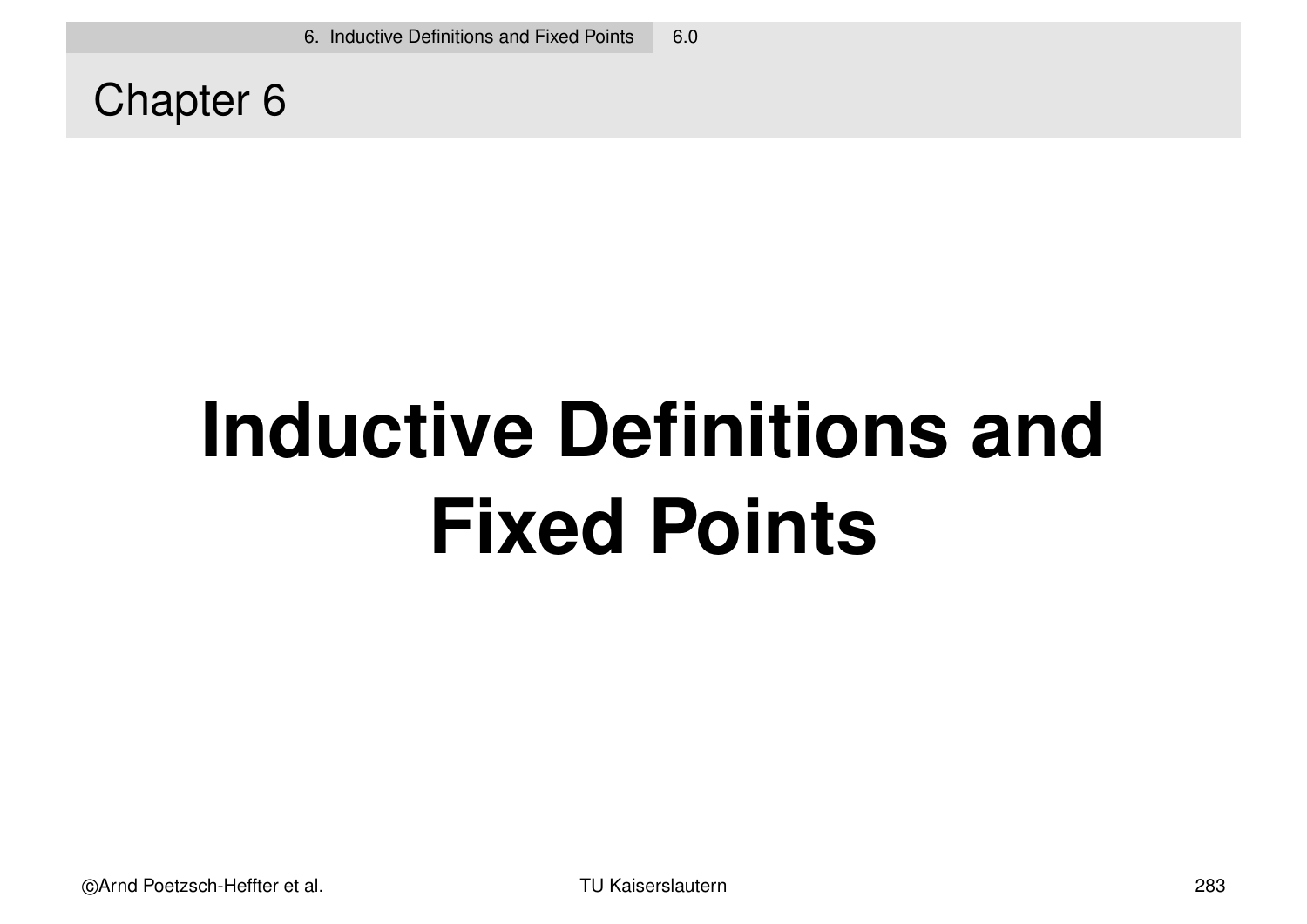Chapter 6

# **Inductive Definitions and Fixed Points**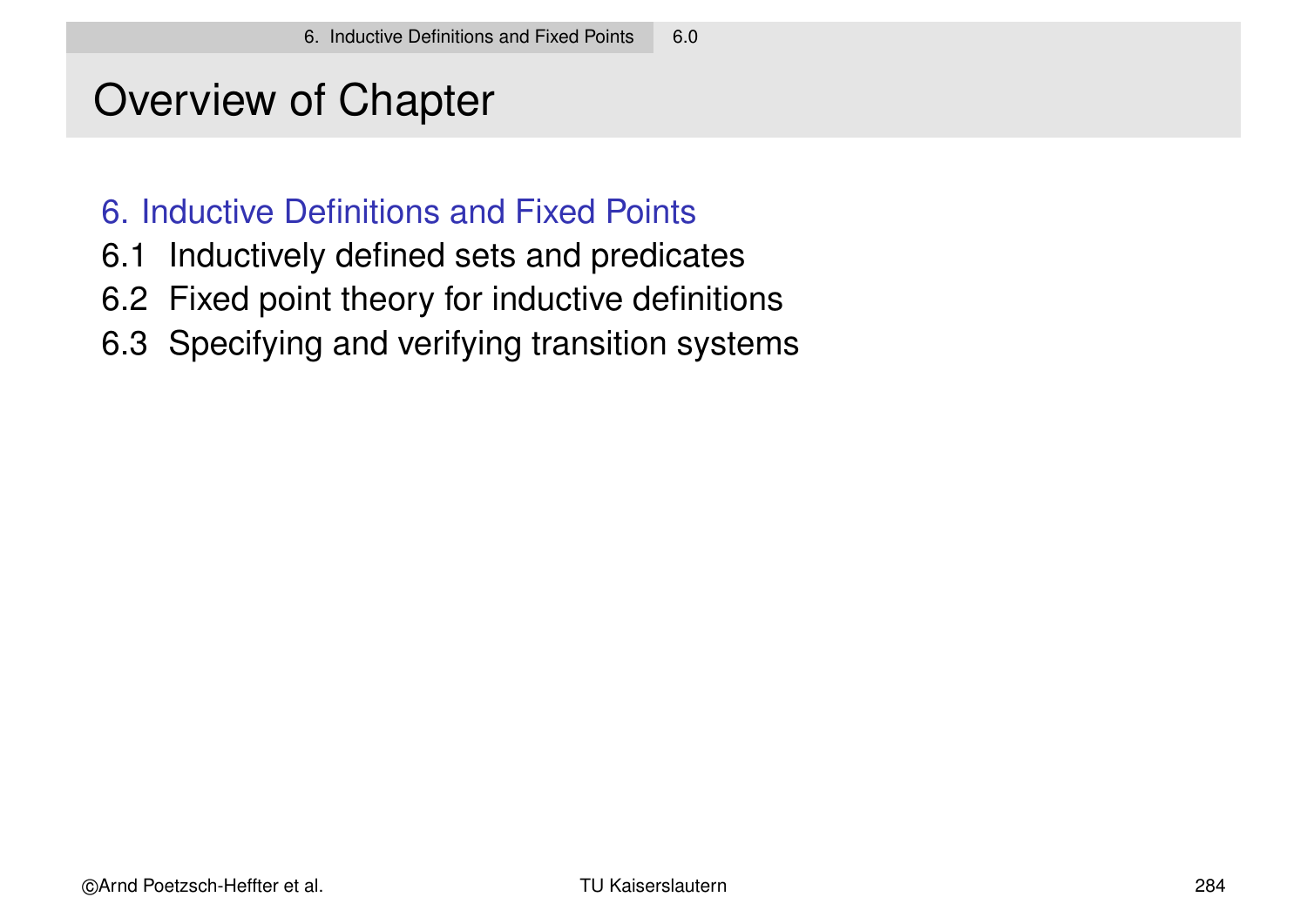# Overview of Chapter

### 6. Inductive Definitions and Fixed Points

- 6.1 Inductively defined sets and predicates
- 6.2 Fixed point theory for inductive definitions
- 6.3 Specifying and verifying transition systems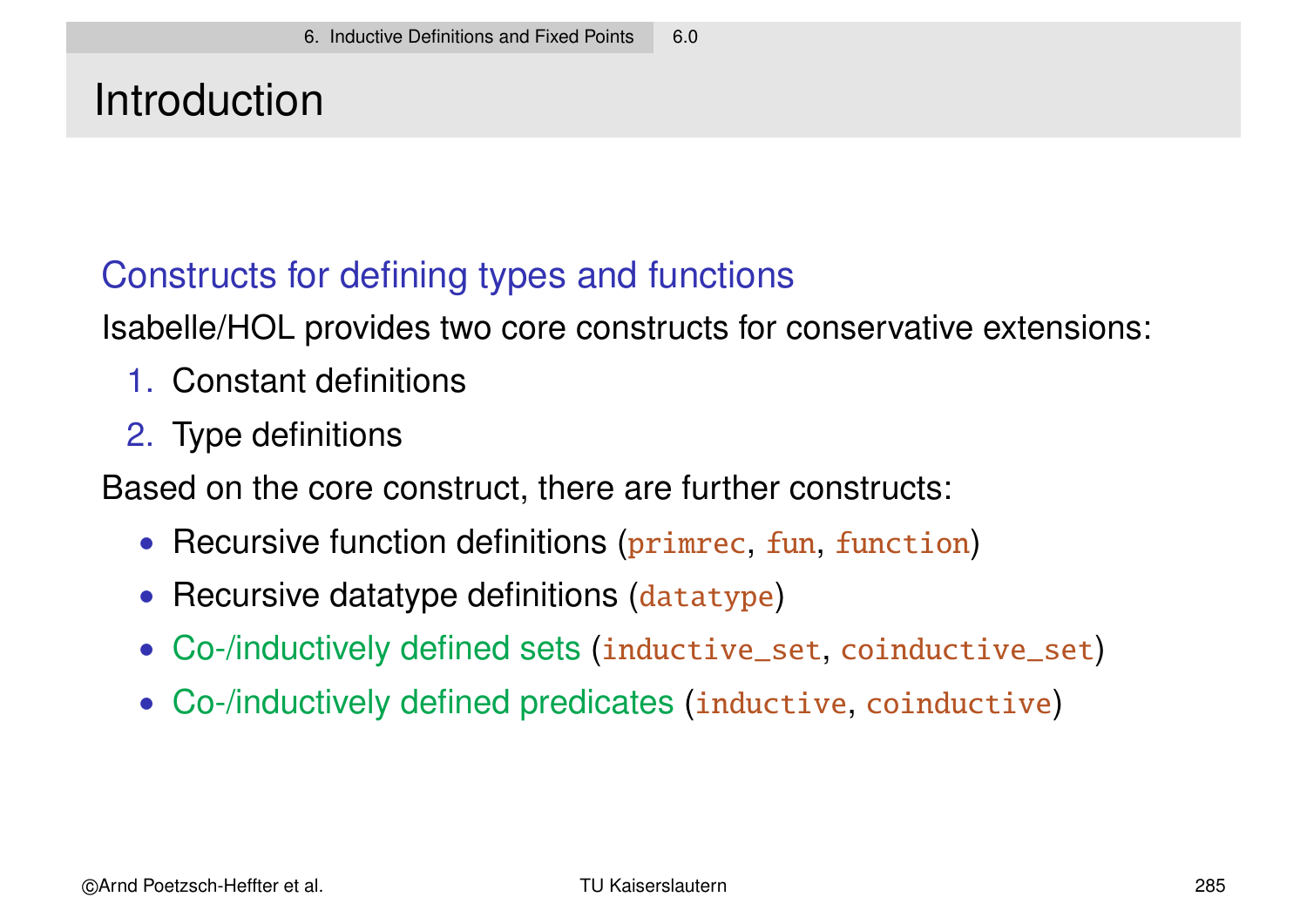# Introduction

### Constructs for defining types and functions

Isabelle/HOL provides two core constructs for conservative extensions:

- 1. Constant definitions
- 2. Type definitions

Based on the core construct, there are further constructs:

- Recursive function definitions (primrec, fun, function)
- Recursive datatype definitions (datatype)
- Co-/inductively defined sets (inductive\_set, coinductive\_set)
- Co-/inductively defined predicates (inductive, coinductive)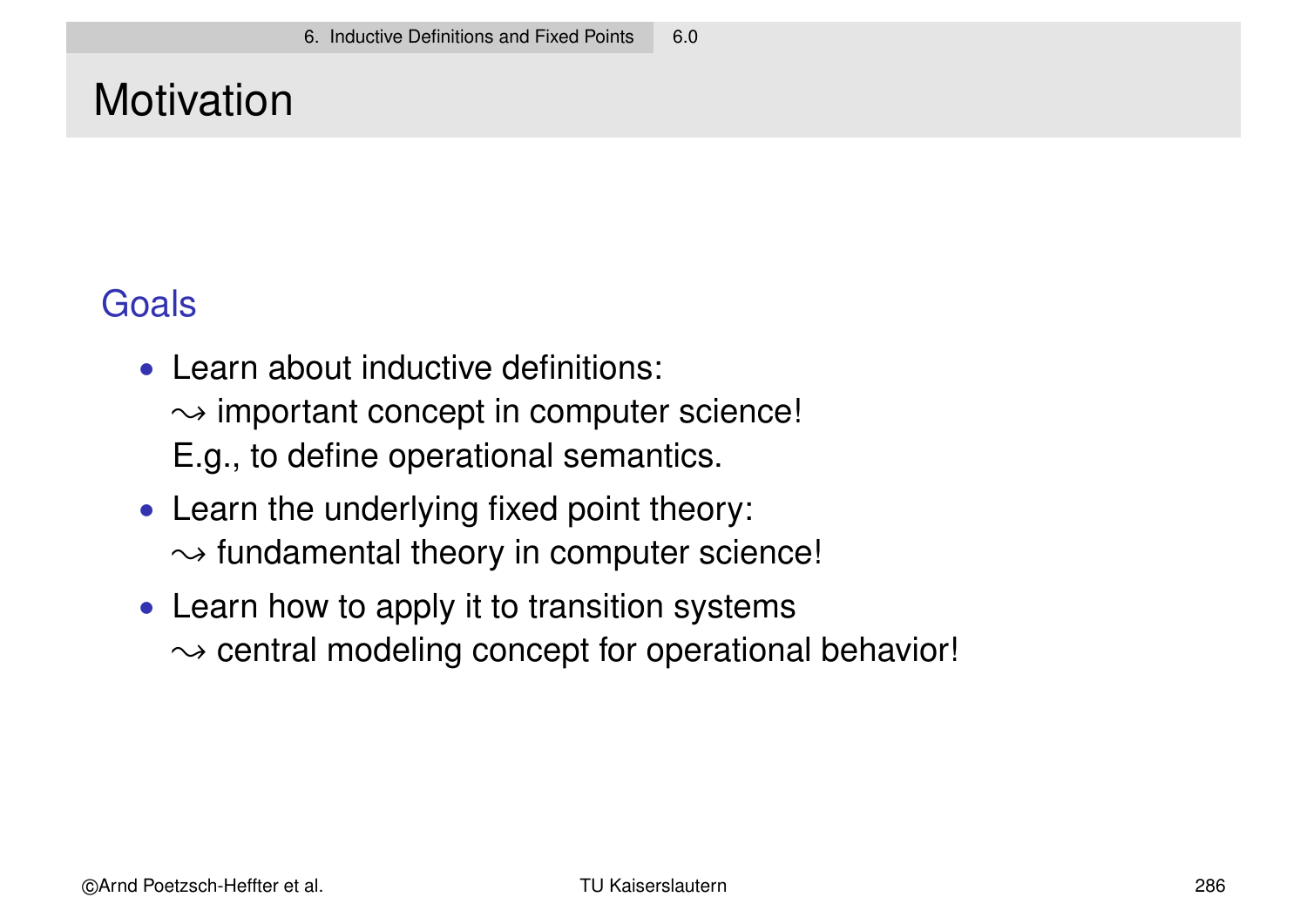# **Motivation**

### **Goals**

- Learn about inductive definitions:  $\rightarrow$  important concept in computer science! E.g., to define operational semantics.
- Learn the underlying fixed point theory:  $\rightarrow$  fundamental theory in computer science!
- Learn how to apply it to transition systems  $\rightarrow$  central modeling concept for operational behavior!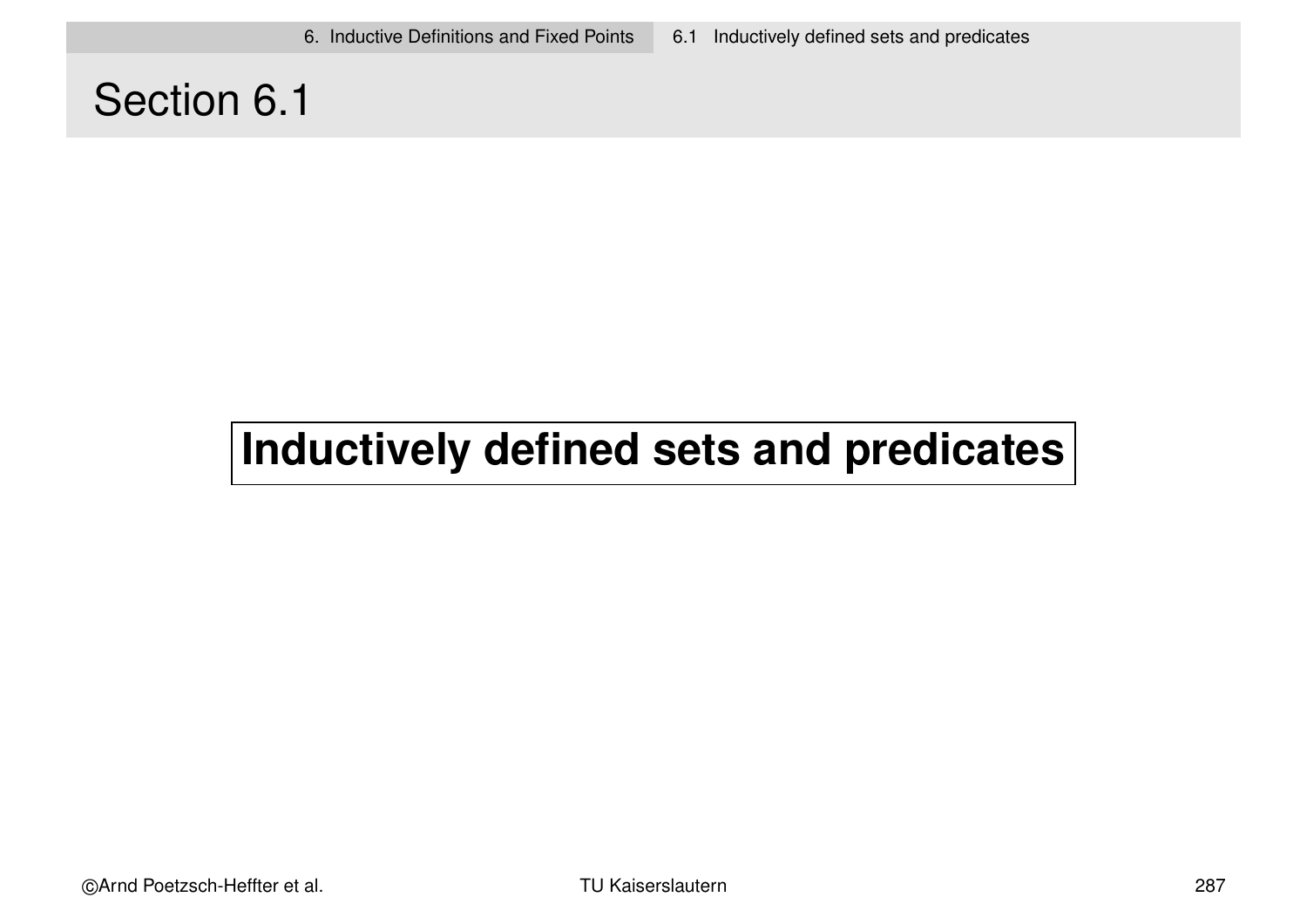# Section 6.1

# **Inductively defined sets and predicates**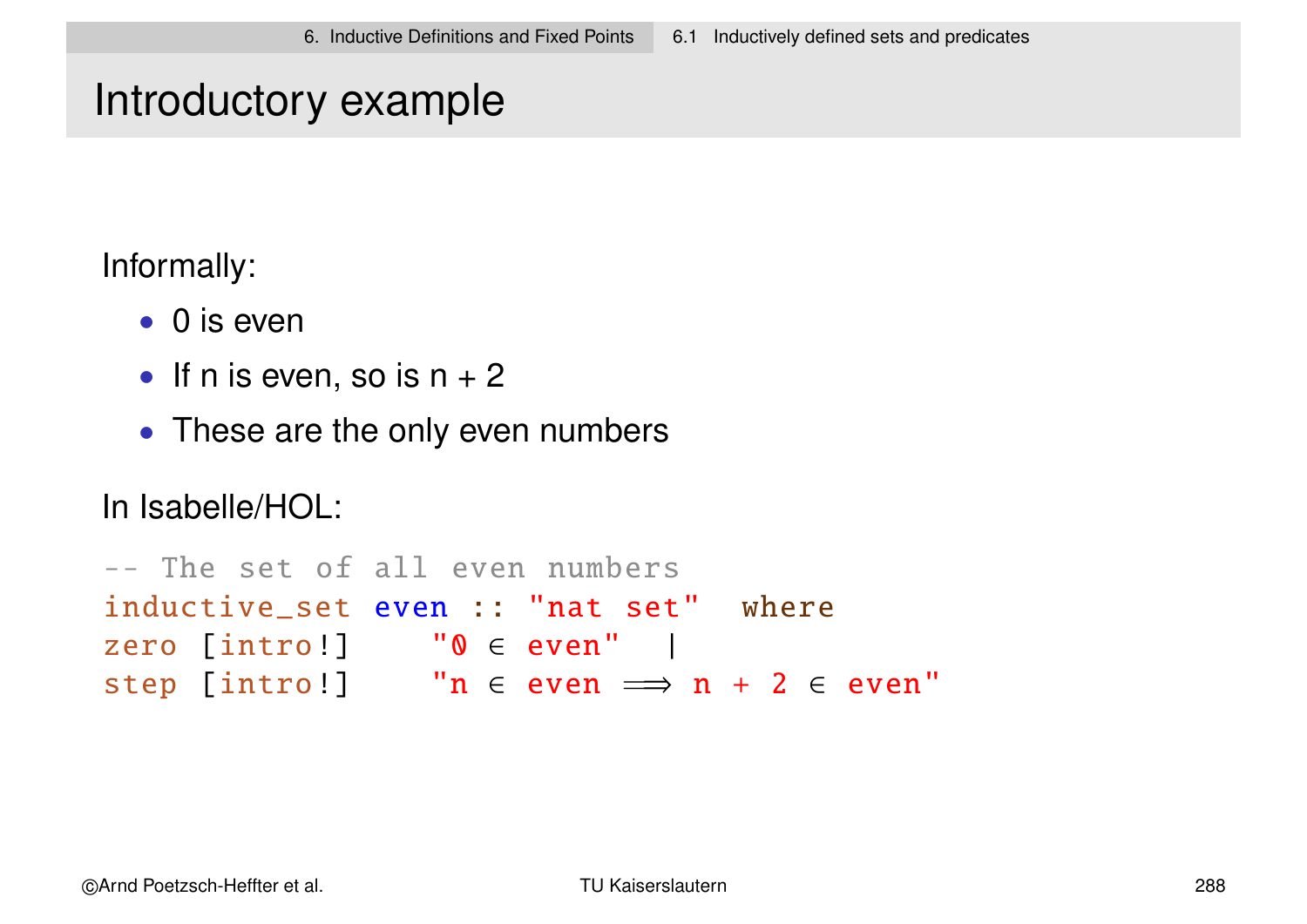### Introductory example

Informally:

- 0 is even
- If n is even, so is  $n + 2$
- These are the only even numbers

In Isabelle/HOL:

```
-- The set of all even numbers
inductive_set even :: "nat set" where
zero [intro!] "0 ∈ even" |
step [intro!] "n \in even \implies n + 2 \in even"
```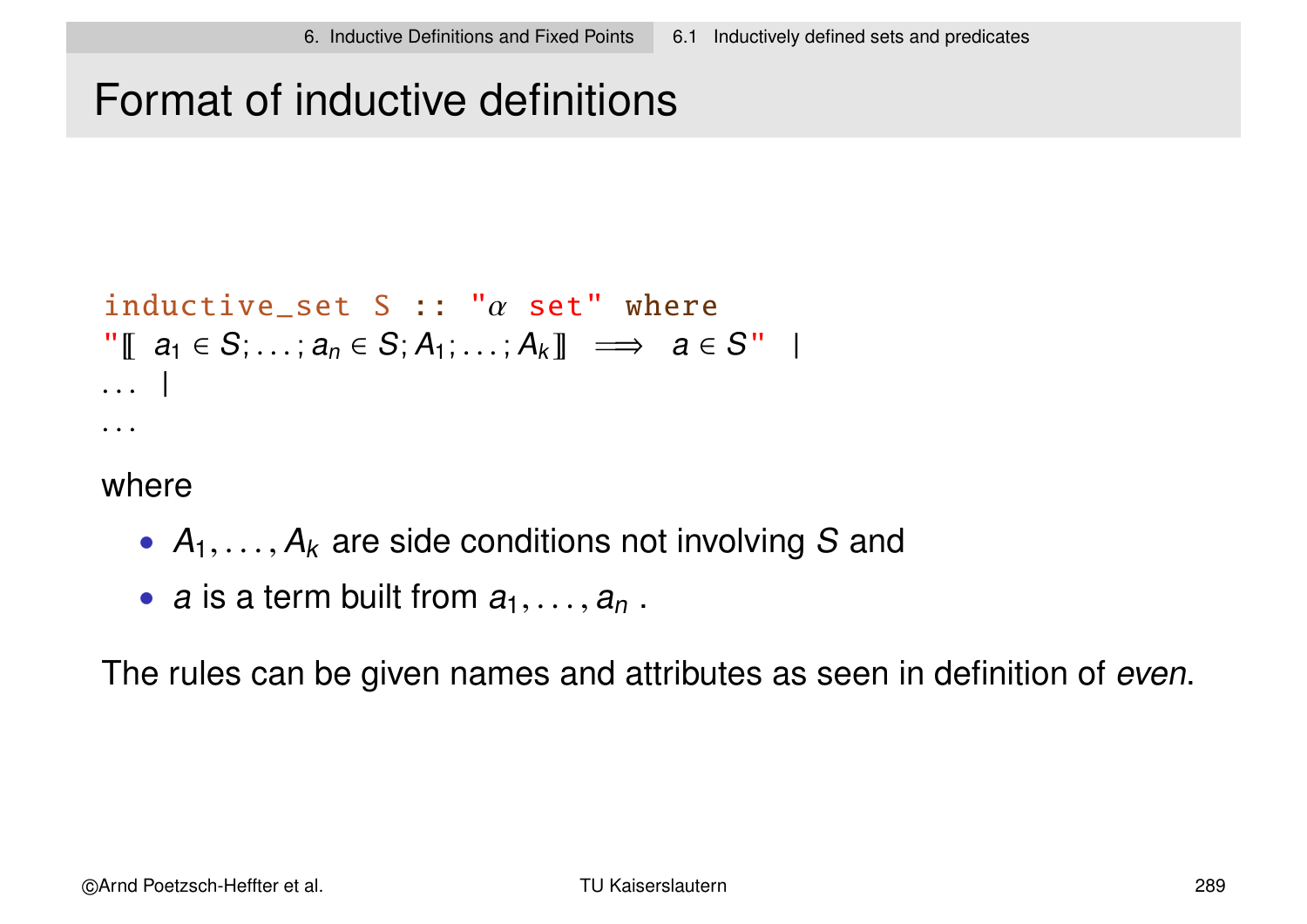# Format of inductive definitions

```
inductive_set S :: "\alpha set" where
"[[ a_1 \in S; \ldots; a_n \in S; A_1; \ldots; A_k]] \implies a \in S" |
. . . |
. . .
```
where

- $A_1, \ldots, A_k$  are side conditions not involving S and
- a is a term built from  $a_1, \ldots, a_n$ .

The rules can be given names and attributes as seen in definition of even.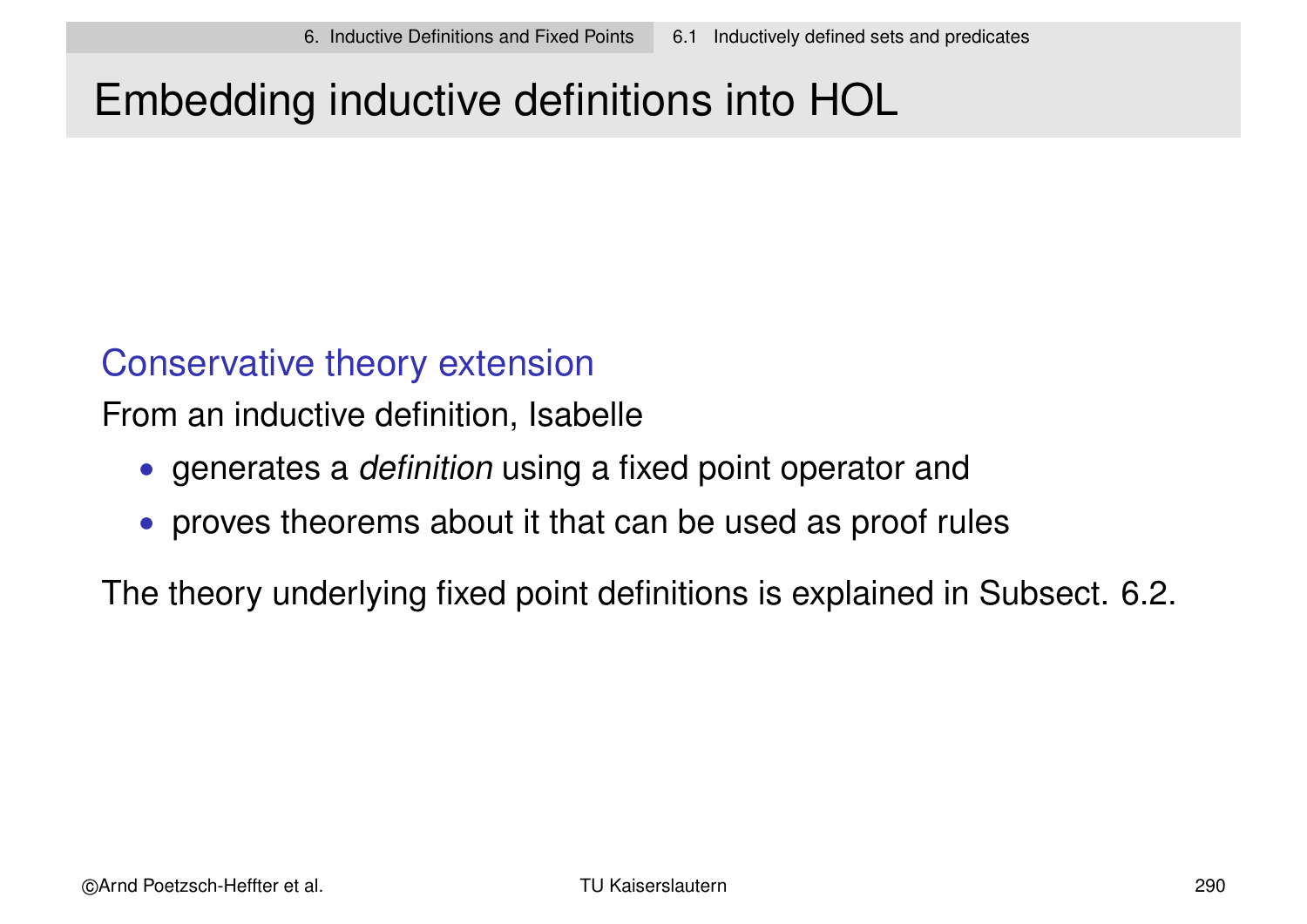# Embedding inductive definitions into HOL

### Conservative theory extension

From an inductive definition, Isabelle

- generates a *definition* using a fixed point operator and
- proves theorems about it that can be used as proof rules

The theory underlying fixed point definitions is explained in Subsect. 6.2.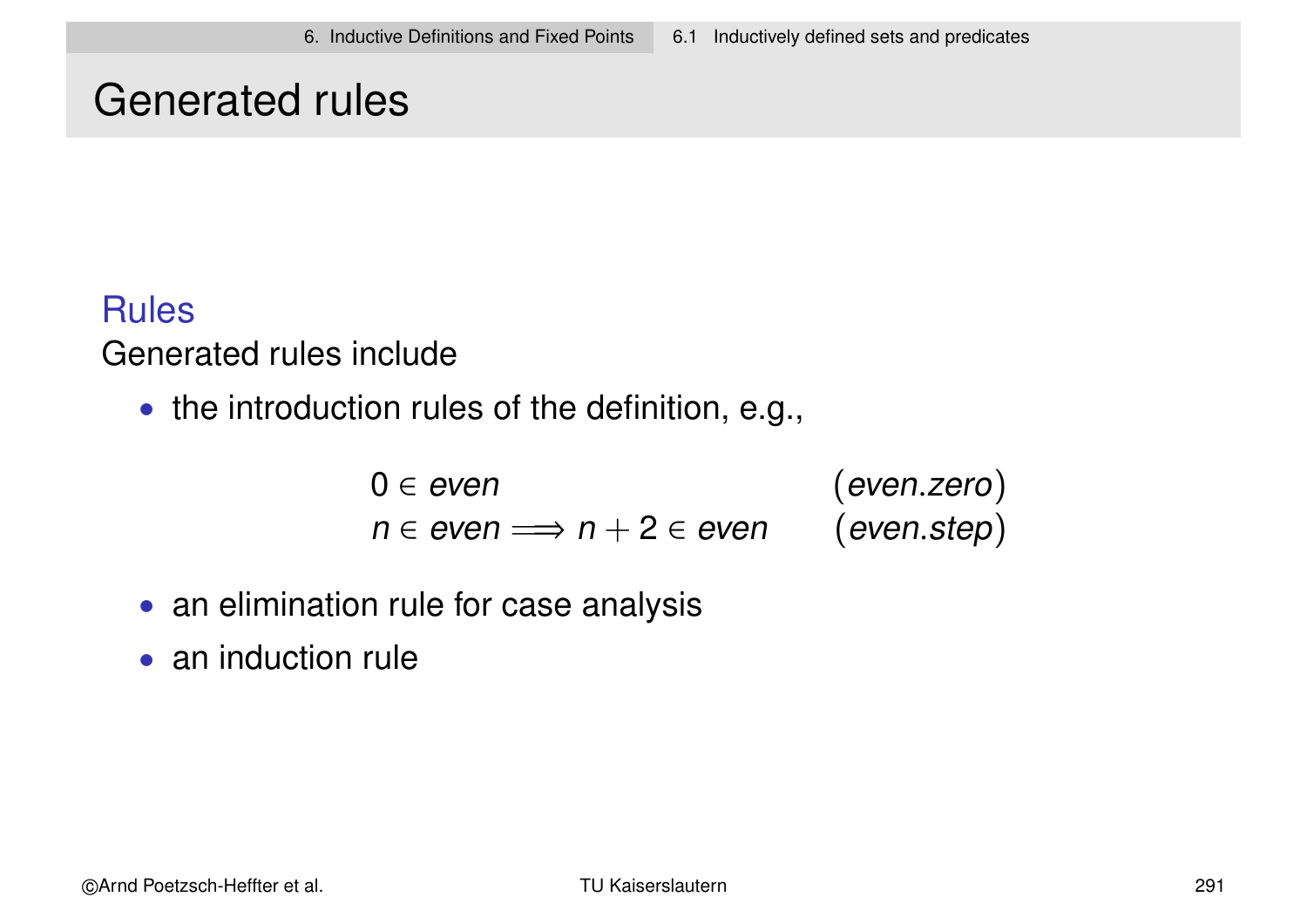### Generated rules

### **Rules**

### Generated rules include

• the introduction rules of the definition, e.g.,

 $0 \in even$  (even.zero)  $n \in even \implies n + 2 \in even$  (even.step)

- an elimination rule for case analysis
- an induction rule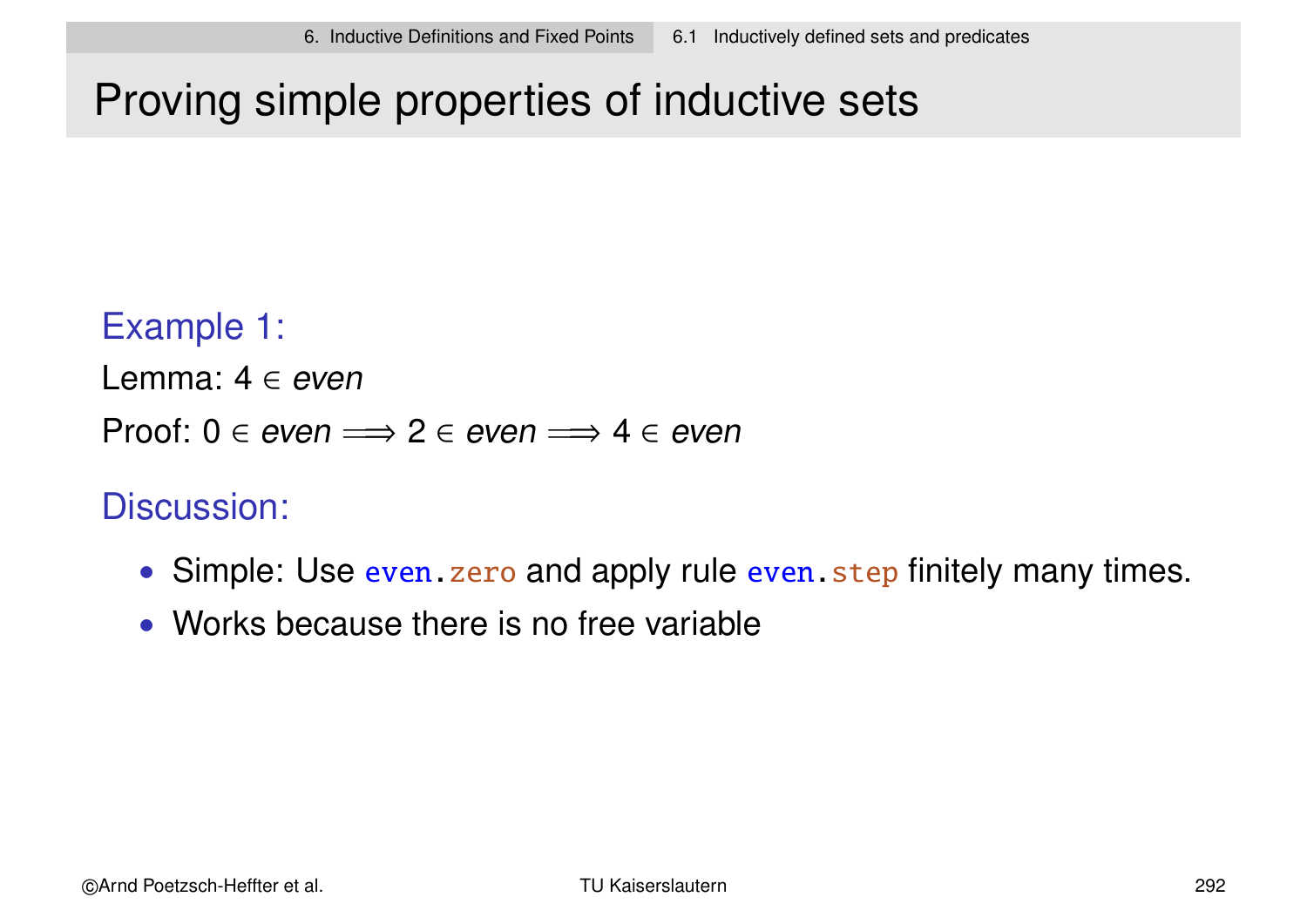# Proving simple properties of inductive sets

### Example 1:

Lemma:  $4 \in even$ 

Proof:  $0 \in even \implies 2 \in even \implies 4 \in even$ 

### Discussion:

- Simple: Use even. zero and apply rule even. step finitely many times.
- Works because there is no free variable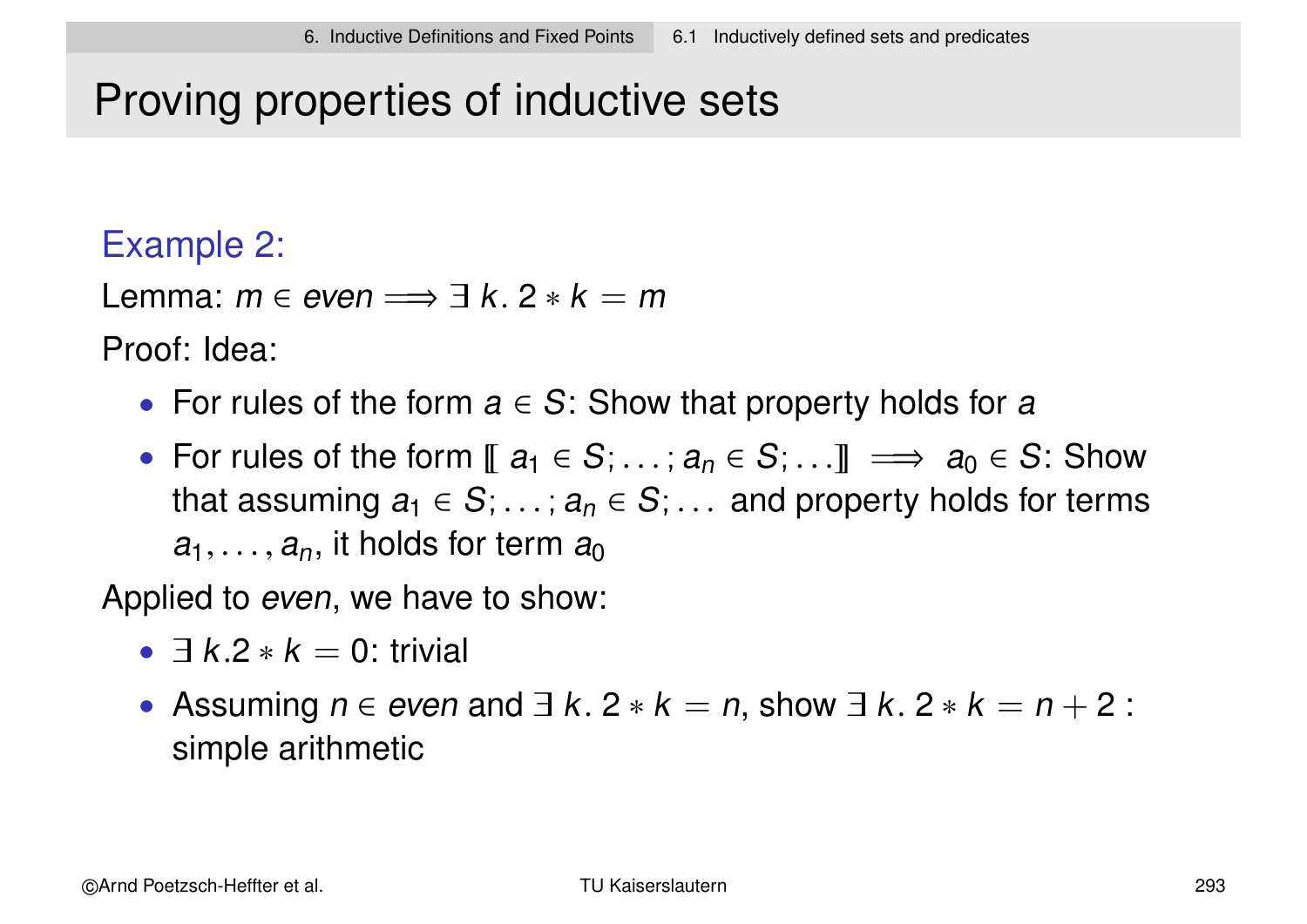# Proving properties of inductive sets

### Example 2:

Lemma:  $m \in even \implies \exists k. 2 * k = m$ 

Proof: Idea:

- For rules of the form  $a \in S$ : Show that property holds for a
- For rules of the form  $\llbracket a_1 \in S; \ldots; a_n \in S; \ldots \rrbracket \implies a_0 \in S$ : Show that assuming  $a_1 \in S$ ;  $\ldots$  ;  $a_n \in S$ ;  $\ldots$  and property holds for terms  $a_1, \ldots, a_n$ , it holds for term  $a_0$

Applied to *even*, we have to show:

- $\exists k.2 * k = 0$ : trivial
- Assuming  $n \in$  even and  $\exists k. 2 * k = n$ , show  $\exists k. 2 * k = n + 2$ : simple arithmetic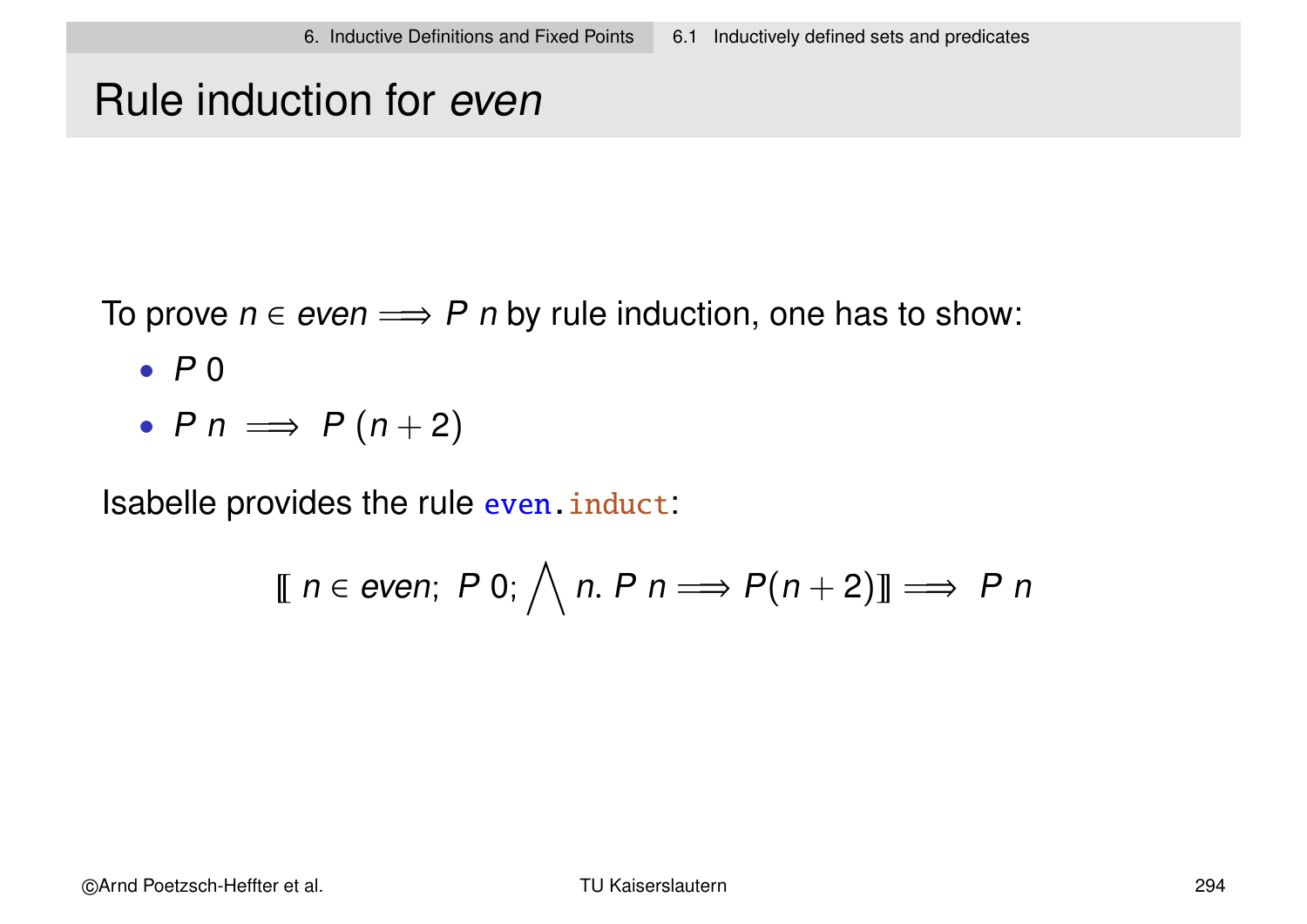### Rule induction for even

To prove  $n \in even \implies P$  n by rule induction, one has to show:

- $\bullet$  P 0
- $P n \implies P(n+2)$

Isabelle provides the rule even.induct:

$$
\llbracket n \in \text{even};\ P\ 0;\ \bigwedge n.\ P\ n \Longrightarrow P(n+2)\rrbracket \Longrightarrow P\ n
$$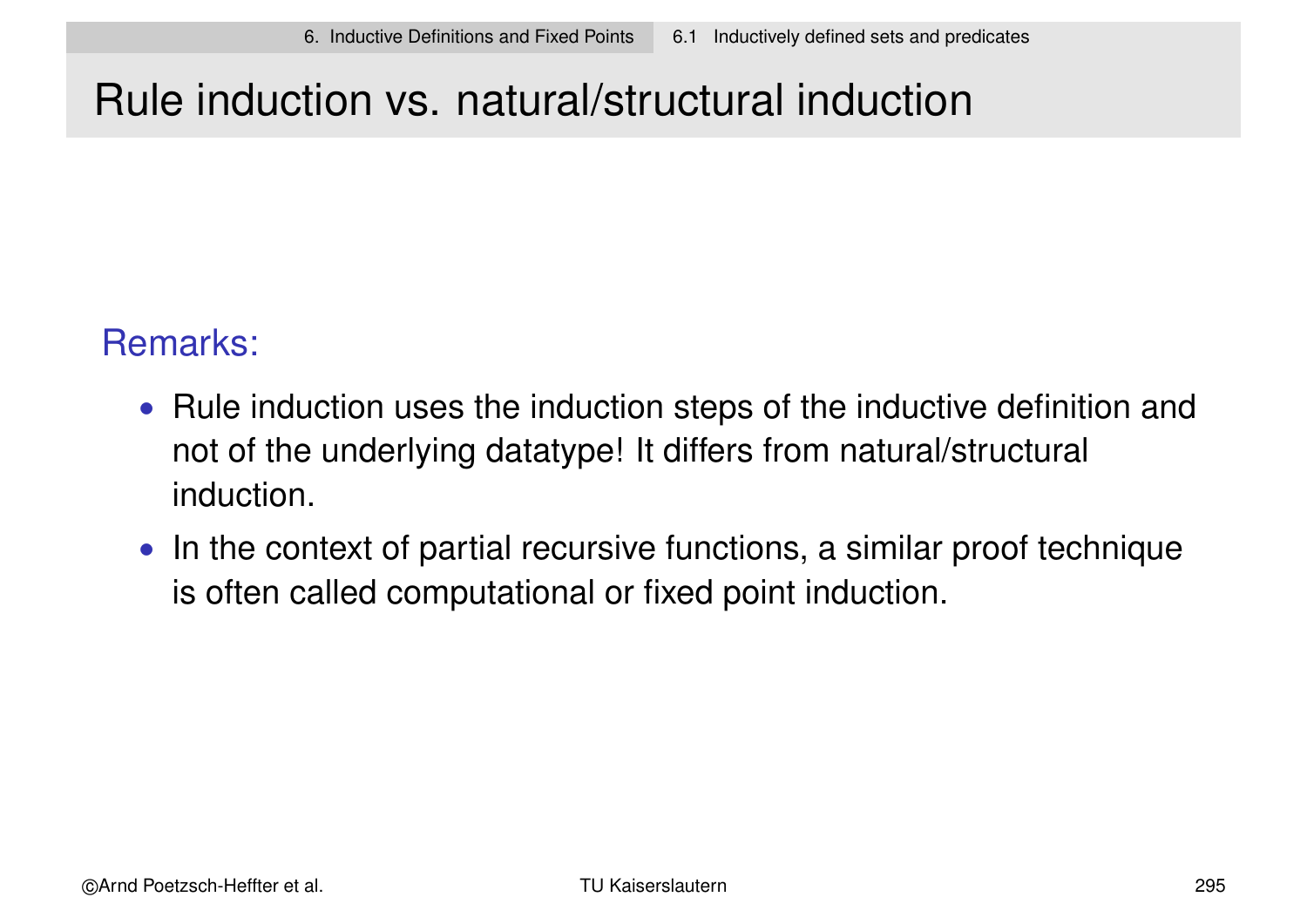# Rule induction vs. natural/structural induction

### Remarks:

- Rule induction uses the induction steps of the inductive definition and not of the underlying datatype! It differs from natural/structural induction.
- In the context of partial recursive functions, a similar proof technique is often called computational or fixed point induction.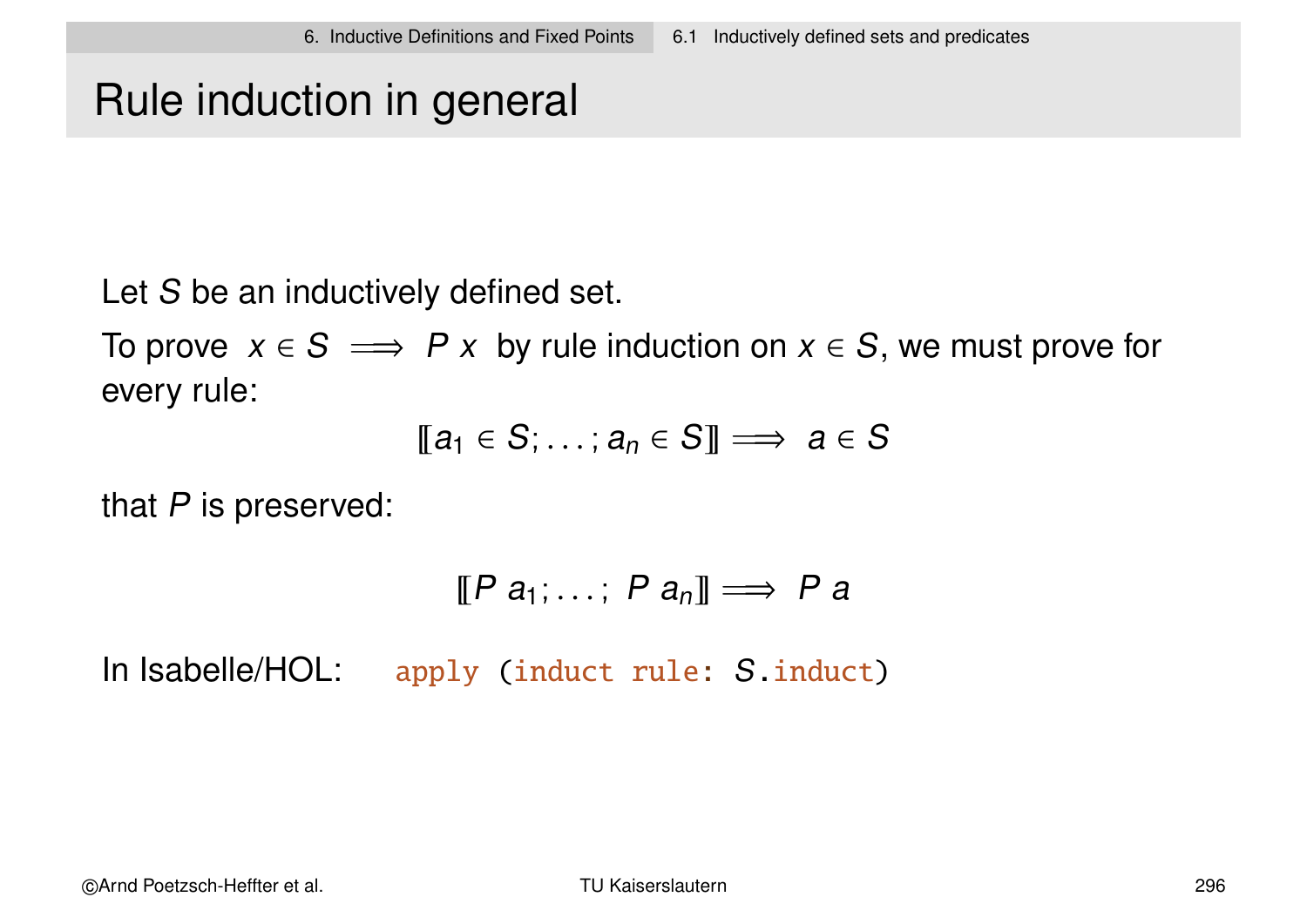# Rule induction in general

Let S be an inductively defined set.

To prove  $x \in S \implies P x$  by rule induction on  $x \in S$ , we must prove for every rule:

$$
[\![a_1 \in S; \ldots; a_n \in S]\!] \Longrightarrow a \in S
$$

that  $P$  is preserved:

$$
[\![P \ a_1; \ldots; P \ a_n]\!] \Longrightarrow P \ a
$$

In Isabelle/HOL: apply (induct rule: S.induct)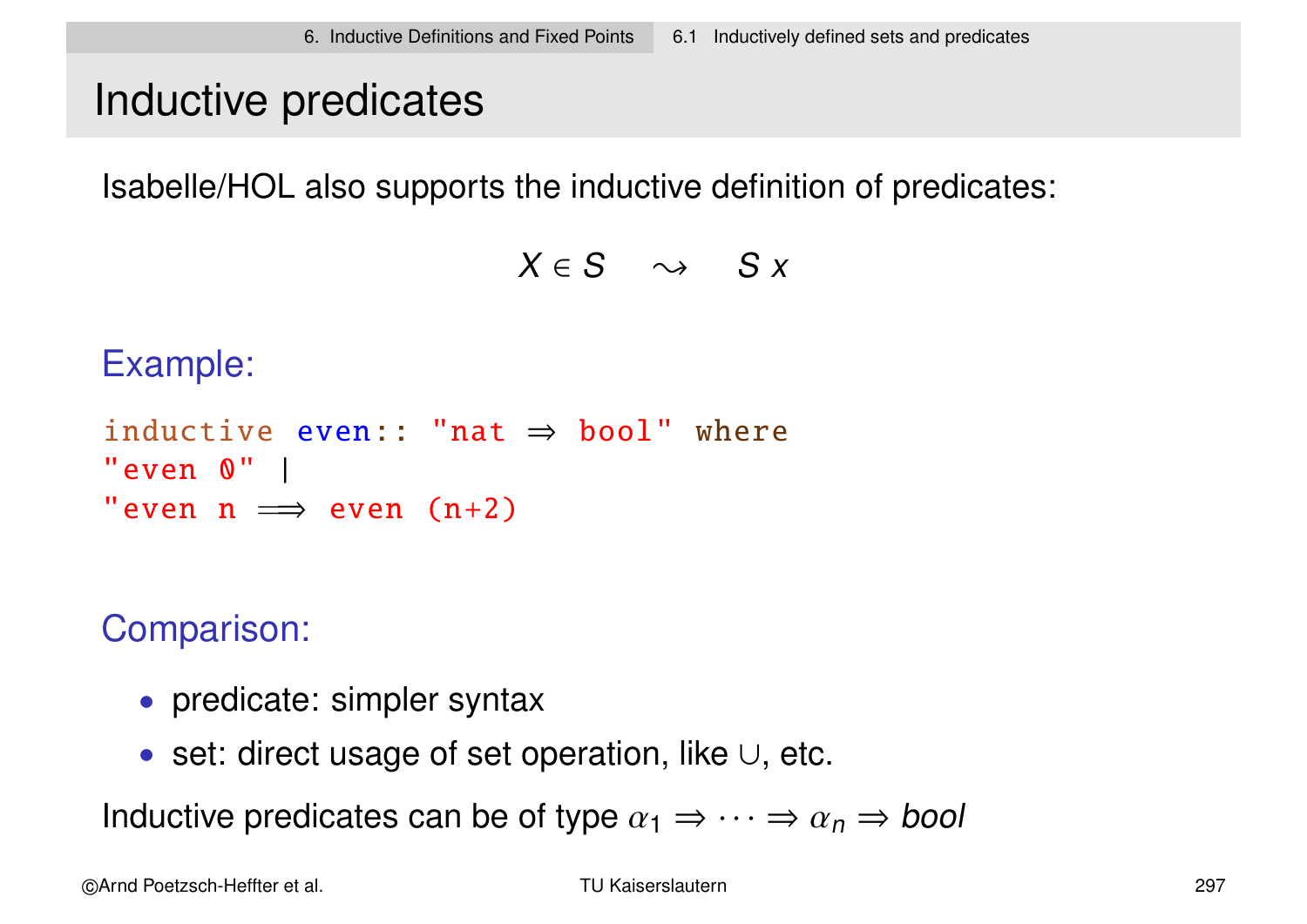### Inductive predicates

Isabelle/HOL also supports the inductive definition of predicates:

 $X \in S \quad \leadsto \quad S x$ 

Example:

```
inductive even:: "nat \Rightarrow bool" where
"even 0" |
"even n \implies even (n+2)
```
Comparison:

- predicate: simpler syntax
- set: direct usage of set operation, like ∪, etc.

Inductive predicates can be of type  $\alpha_1 \Rightarrow \cdots \Rightarrow \alpha_n \Rightarrow$  bool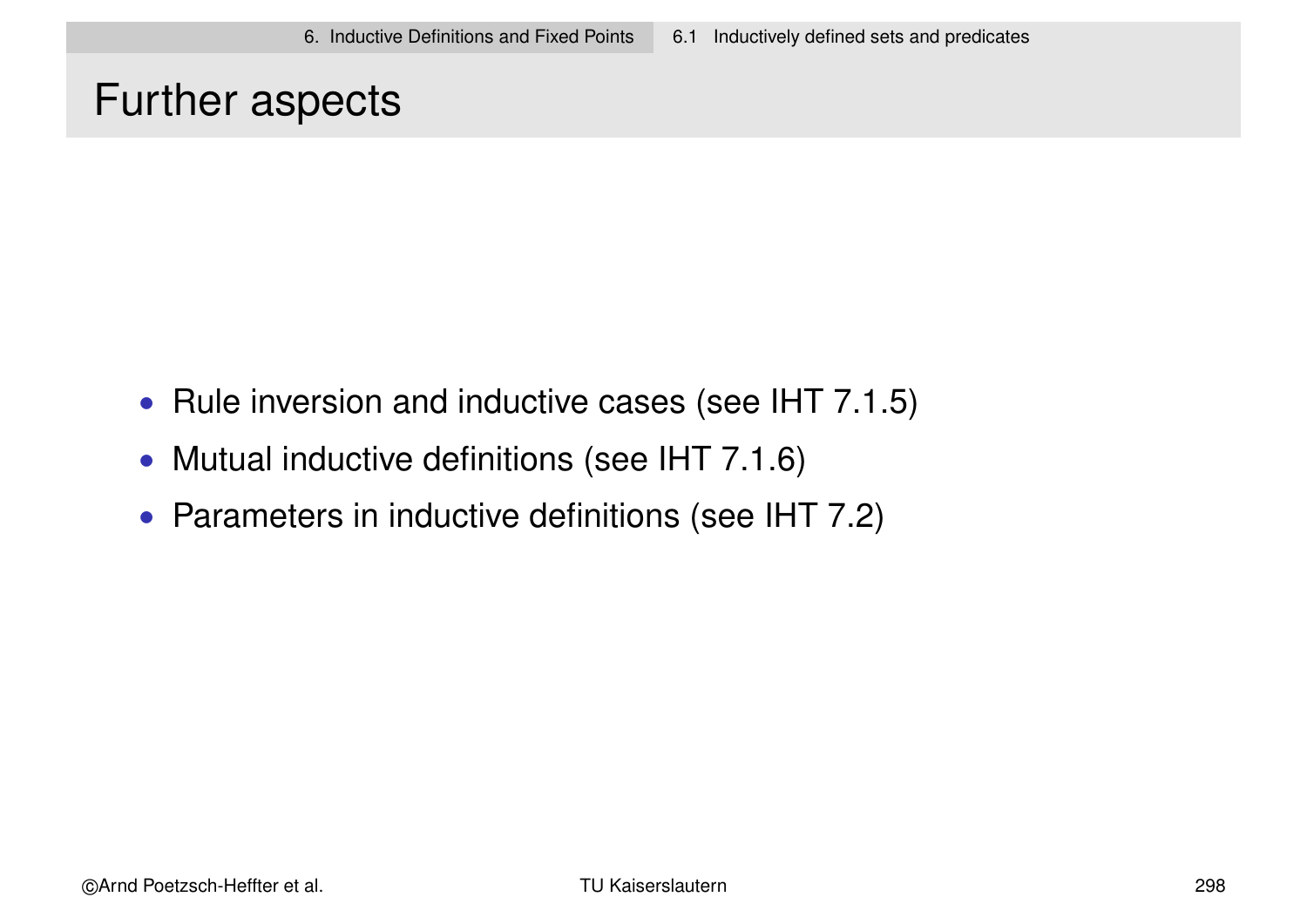### Further aspects

- Rule inversion and inductive cases (see IHT 7.1.5)
- Mutual inductive definitions (see IHT 7.1.6)
- Parameters in inductive definitions (see IHT 7.2)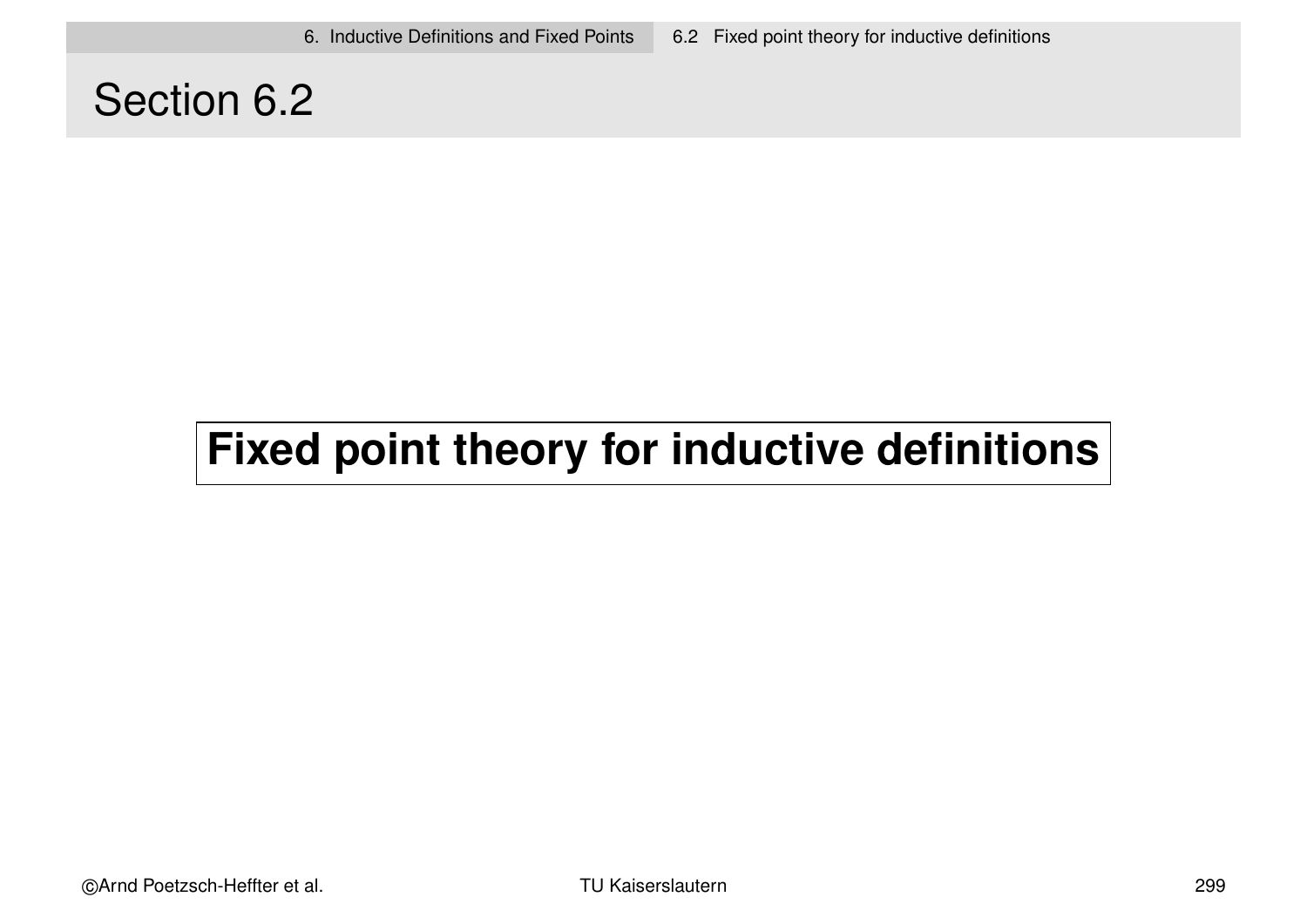### Section 6.2

# **Fixed point theory for inductive definitions**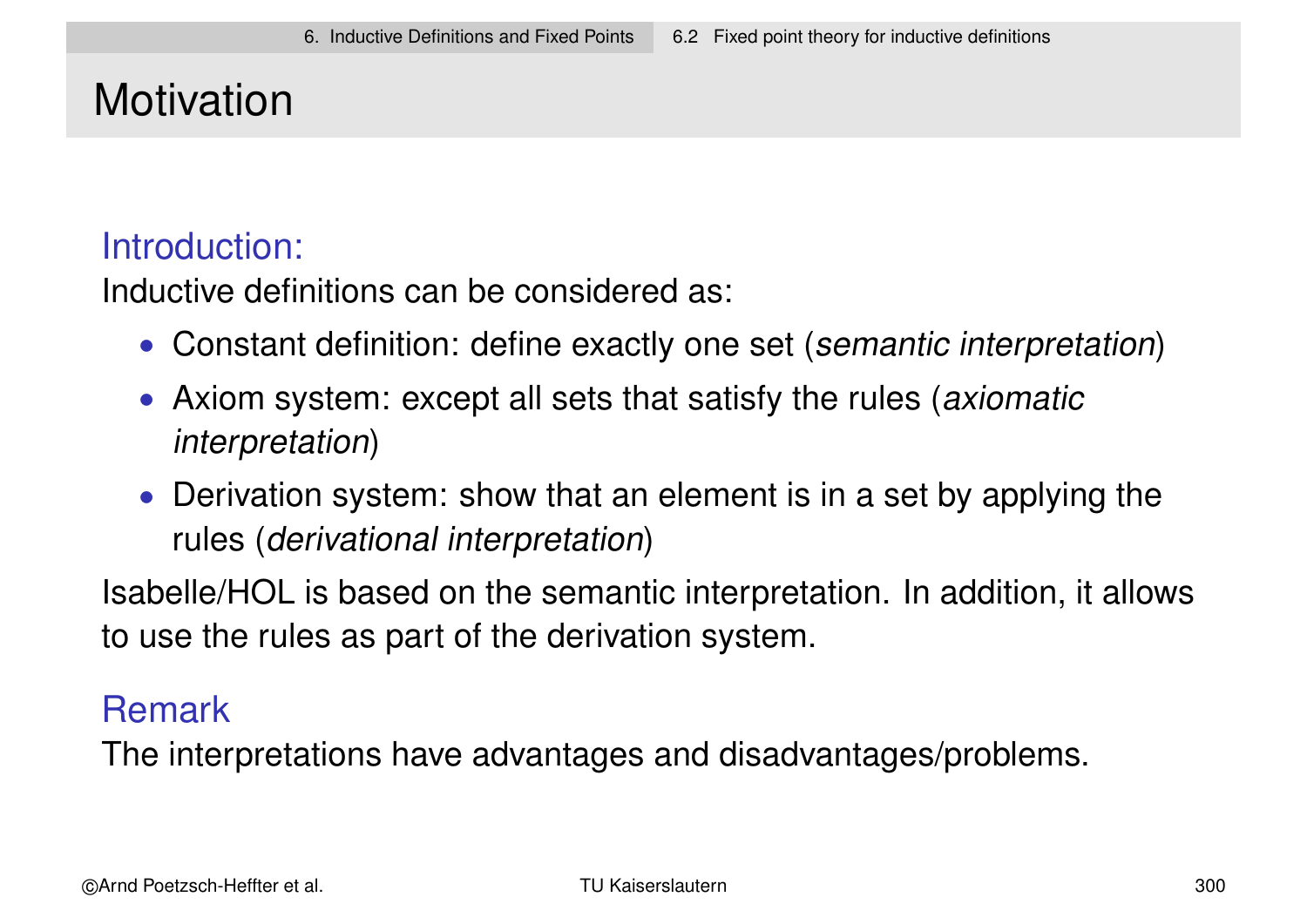# **Motivation**

### Introduction:

Inductive definitions can be considered as:

- Constant definition: define exactly one set (semantic interpretation)
- Axiom system: except all sets that satisfy the rules (axiomatic interpretation)
- Derivation system: show that an element is in a set by applying the rules (derivational interpretation)

Isabelle/HOL is based on the semantic interpretation. In addition, it allows to use the rules as part of the derivation system.

### Remark

The interpretations have advantages and disadvantages/problems.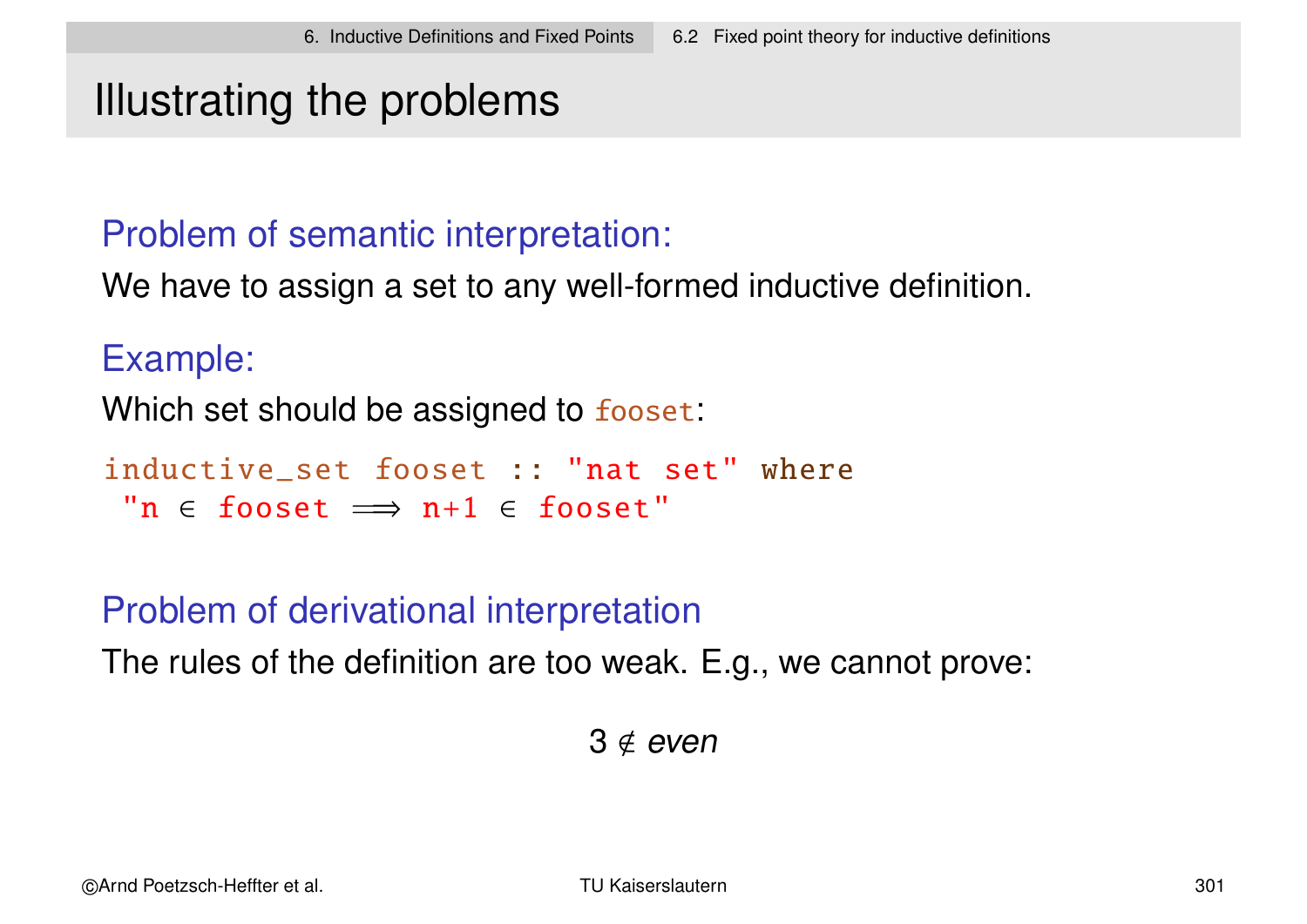### Illustrating the problems

### Problem of semantic interpretation:

We have to assign a set to any well-formed inductive definition.

#### Example:

Which set should be assigned to fooset:

```
inductive set fooset :: "nat set" where
 "n \epsilon fooset \implies n+1 \epsilon fooset"
```
### Problem of derivational interpretation

The rules of the definition are too weak. E.g., we cannot prove:

 $3 \notin even$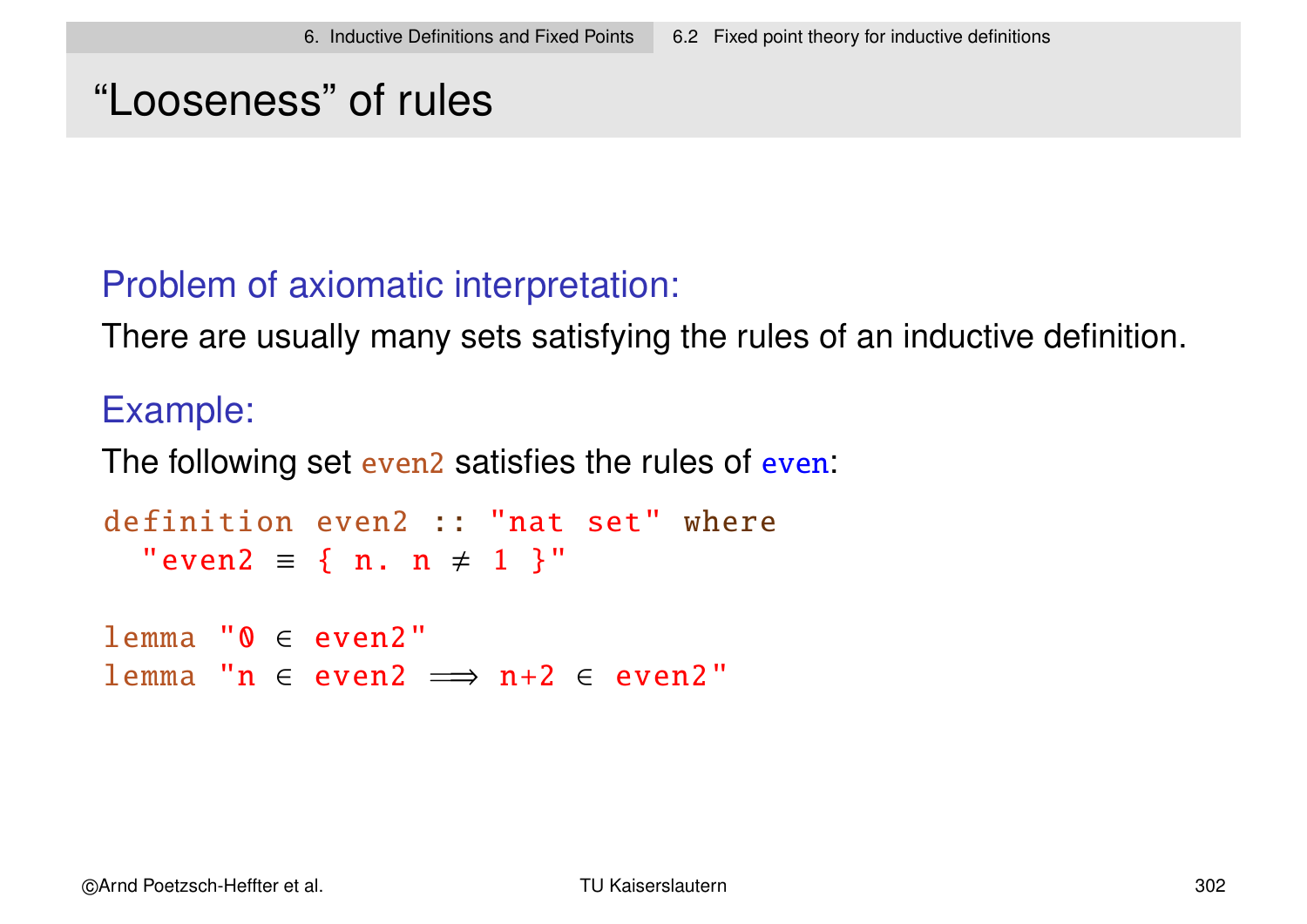# "Looseness" of rules

### Problem of axiomatic interpretation:

There are usually many sets satisfying the rules of an inductive definition.

### Example:

The following set even<sub>2</sub> satisfies the rules of even:

```
definition even2 :: "nat set" where
  "even2 = { n. n \neq 1 }"
```
 $lemma "0 \in even 2"$ lemma "n  $\in$  even2  $\implies$  n+2  $\in$  even2"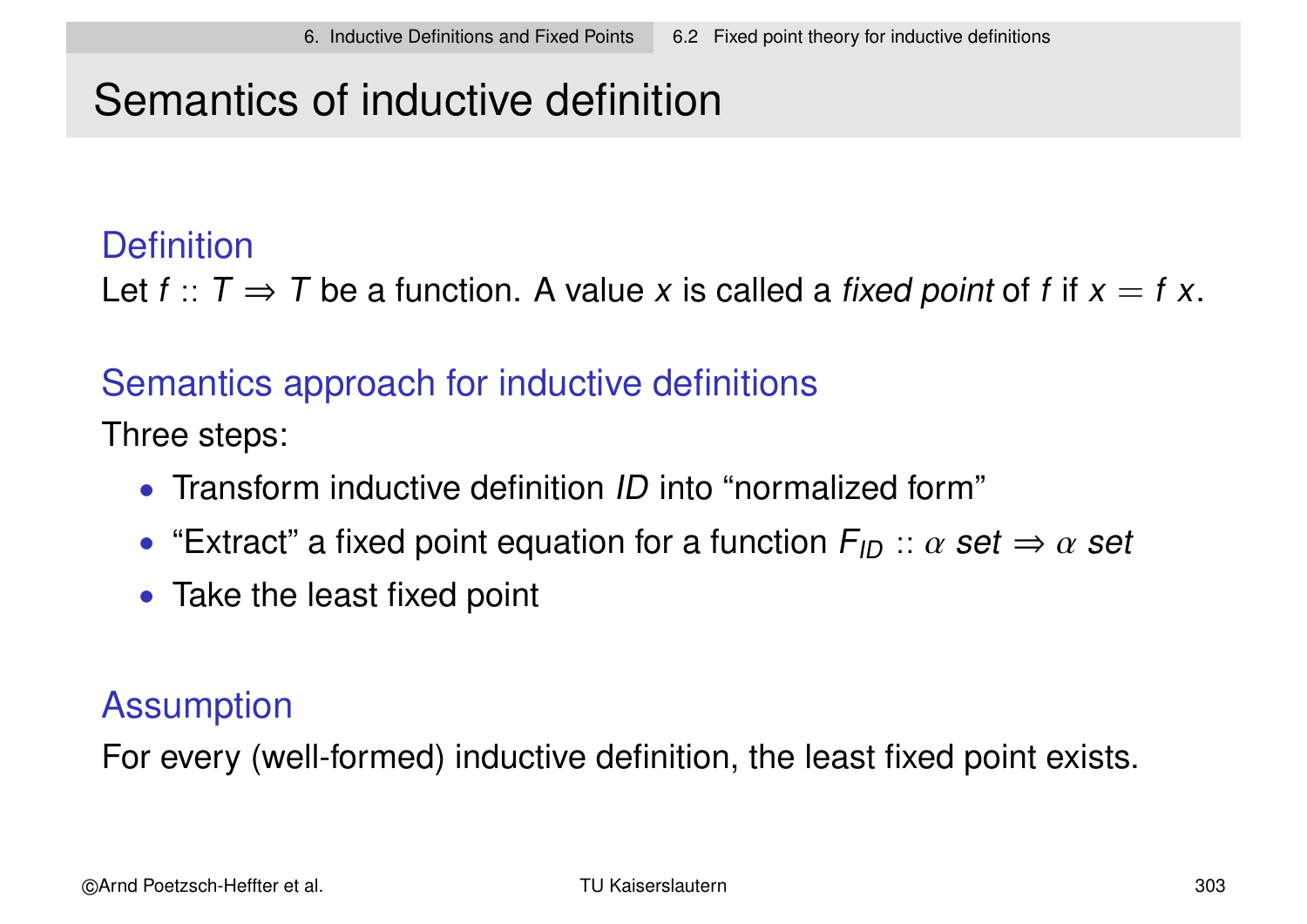# Semantics of inductive definition

### **Definition**

Let  $f: T \Rightarrow T$  be a function. A value x is called a fixed point of f if  $x = f x$ .

### Semantics approach for inductive definitions

Three steps:

- Transform inductive definition *ID* into "normalized form"
- "Extract" a fixed point equation for a function  $F_{ID}$  ::  $\alpha$  set  $\Rightarrow \alpha$  set
- Take the least fixed point

### **Assumption**

For every (well-formed) inductive definition, the least fixed point exists.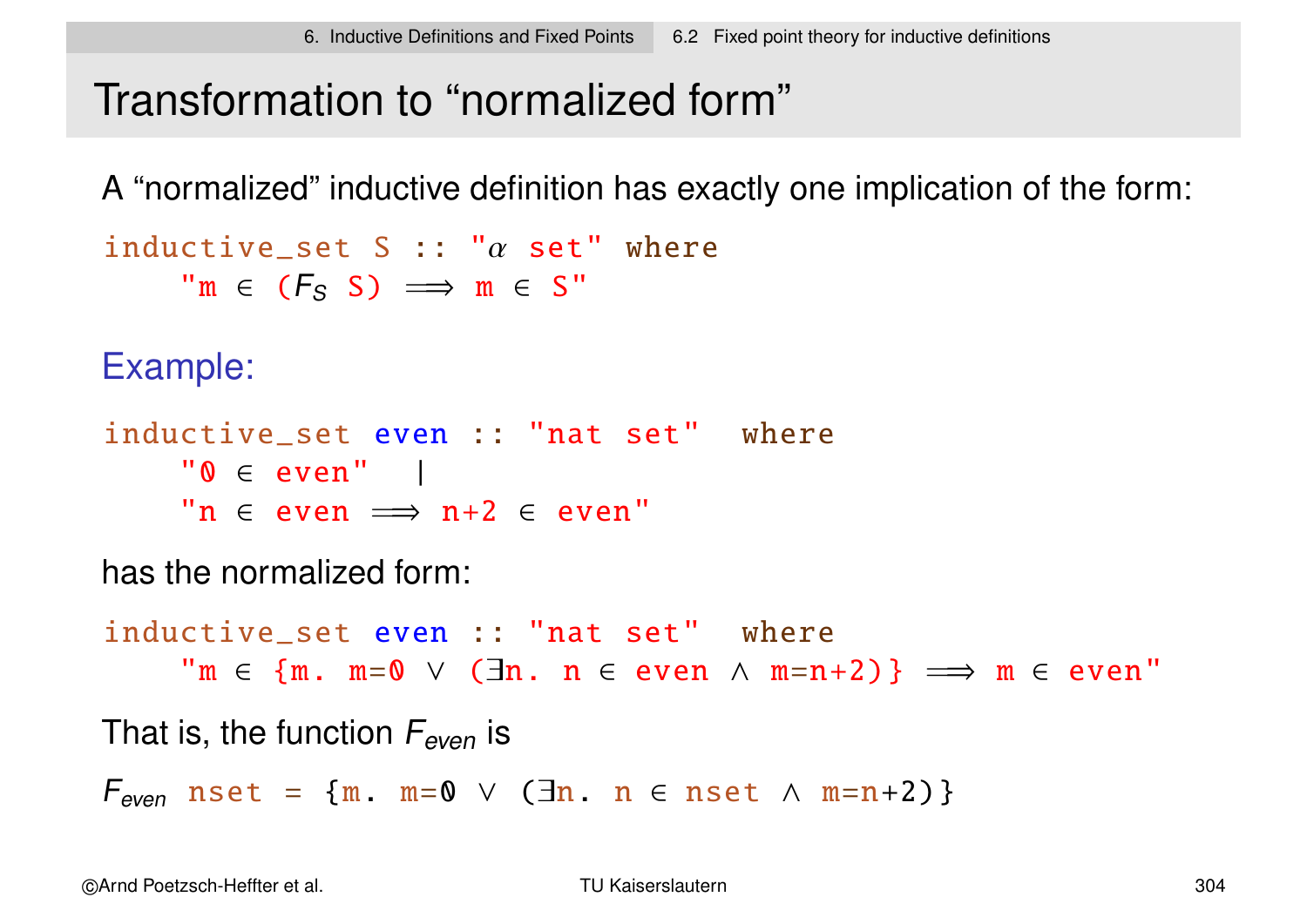# Transformation to "normalized form"

A "normalized" inductive definition has exactly one implication of the form:

```
inductive set S :: "\alpha set" where
      \mathsf{m} \in (F_S \, S) \implies \mathsf{m} \in S"
```
Example:

```
inductive set even :: "nat set" where
     "0 \in even" |
     "n \epsilon even \implies n+2 \epsilon even"
```
has the normalized form:

inductive\_set even :: "nat set" where  $\mathsf{m} \in \{\mathfrak{m}. \mathfrak{m} = \mathsf{0} \ \lor \ (\exists \mathfrak{n}. \mathfrak{n} \in \text{even} \ \land \ \mathfrak{m} = \mathfrak{n} + 2) \} \implies \mathfrak{m} \in \text{even}$ " That is, the function  $F_{even}$  is  $F_{even}$  nset = {m m=0  $\vee$  ( $\exists$ n n  $\in$  nset  $\wedge$  m=n+2)}

©Arnd Poetzsch-Heffter et al. TU Kaiserslautern 304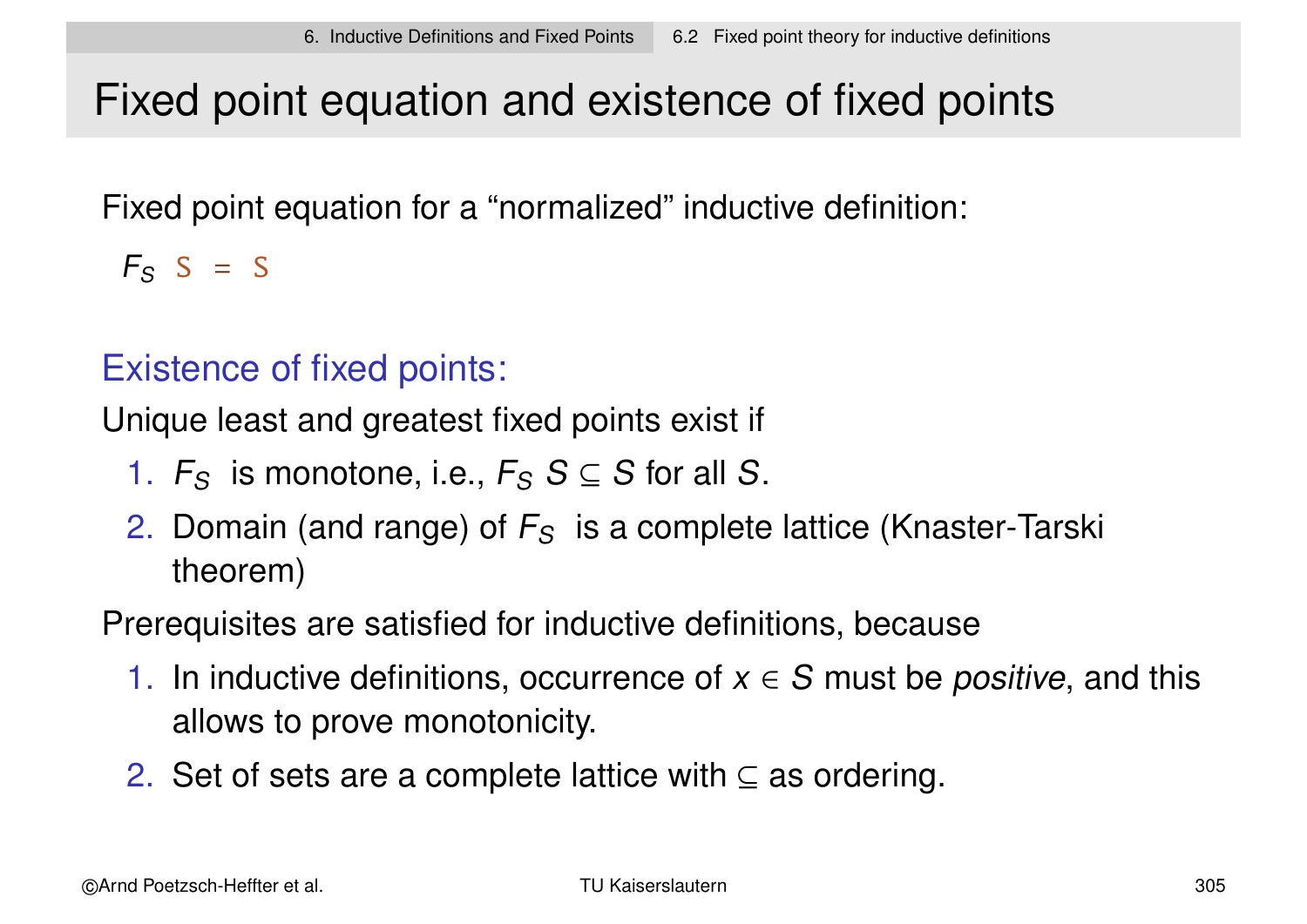# Fixed point equation and existence of fixed points

Fixed point equation for a "normalized" inductive definition:

 $F_S$  S = S

### Existence of fixed points:

Unique least and greatest fixed points exist if

- 1.  $F_S$  is monotone, i.e.,  $F_S S \subseteq S$  for all S.
- 2. Domain (and range) of  $F<sub>S</sub>$  is a complete lattice (Knaster-Tarski theorem)

Prerequisites are satisfied for inductive definitions, because

- 1. In inductive definitions, occurrence of  $x \in S$  must be *positive*, and this allows to prove monotonicity.
- 2. Set of sets are a complete lattice with  $\subseteq$  as ordering.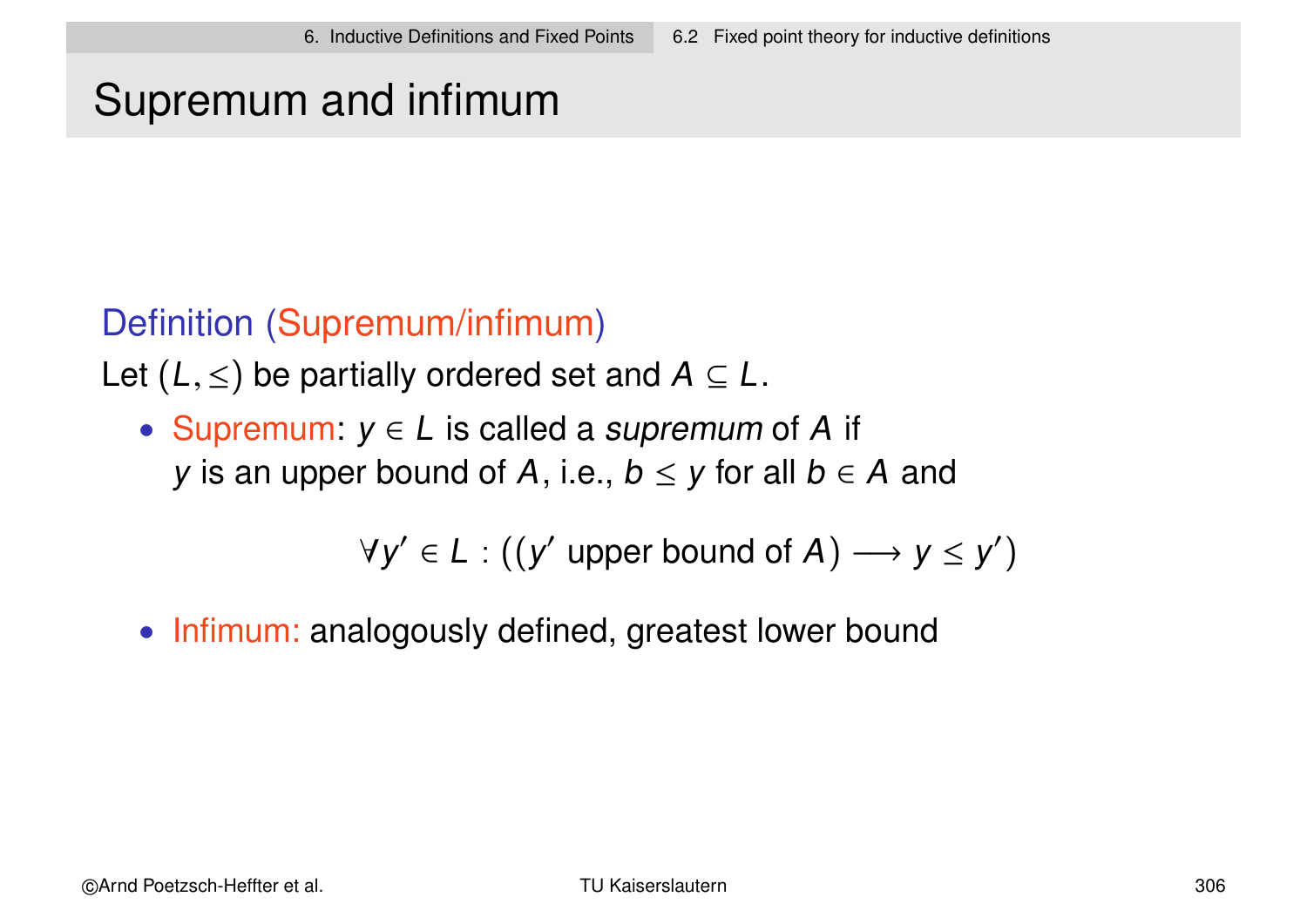# Supremum and infimum

### Definition (Supremum/infimum)

Let  $(L, \leq)$  be partially ordered set and  $A \subseteq L$ .

• Supremum:  $y \in L$  is called a supremum of A if y is an upper bound of A, i.e.,  $b \le y$  for all  $b \in A$  and

 $\forall y' \in L : ((y' \text{ upper bound of } A) \longrightarrow y \leq y')$ 

• Infimum: analogously defined, greatest lower bound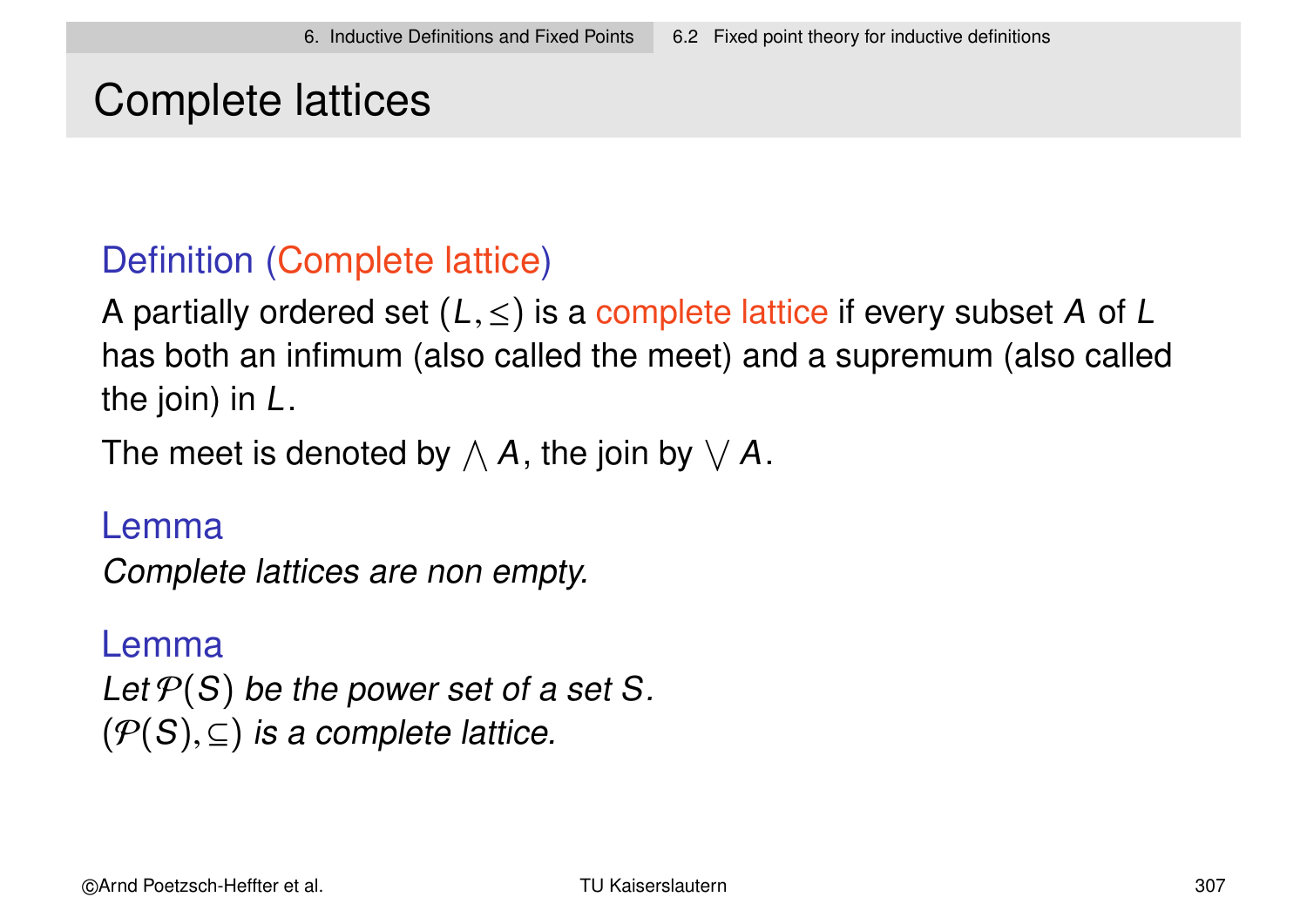# Complete lattices

### Definition (Complete lattice)

A partially ordered set  $(L, \leq)$  is a complete lattice if every subset A of L has both an infimum (also called the meet) and a supremum (also called the join) in L.

The meet is denoted by  $\wedge$  A, the join by  $\vee$  A.

#### Lemma

Complete lattices are non empty.

#### Lemma

Let  $\mathcal{P}(S)$  be the power set of a set S.  $(\mathcal{P}(S), \subseteq)$  is a complete lattice.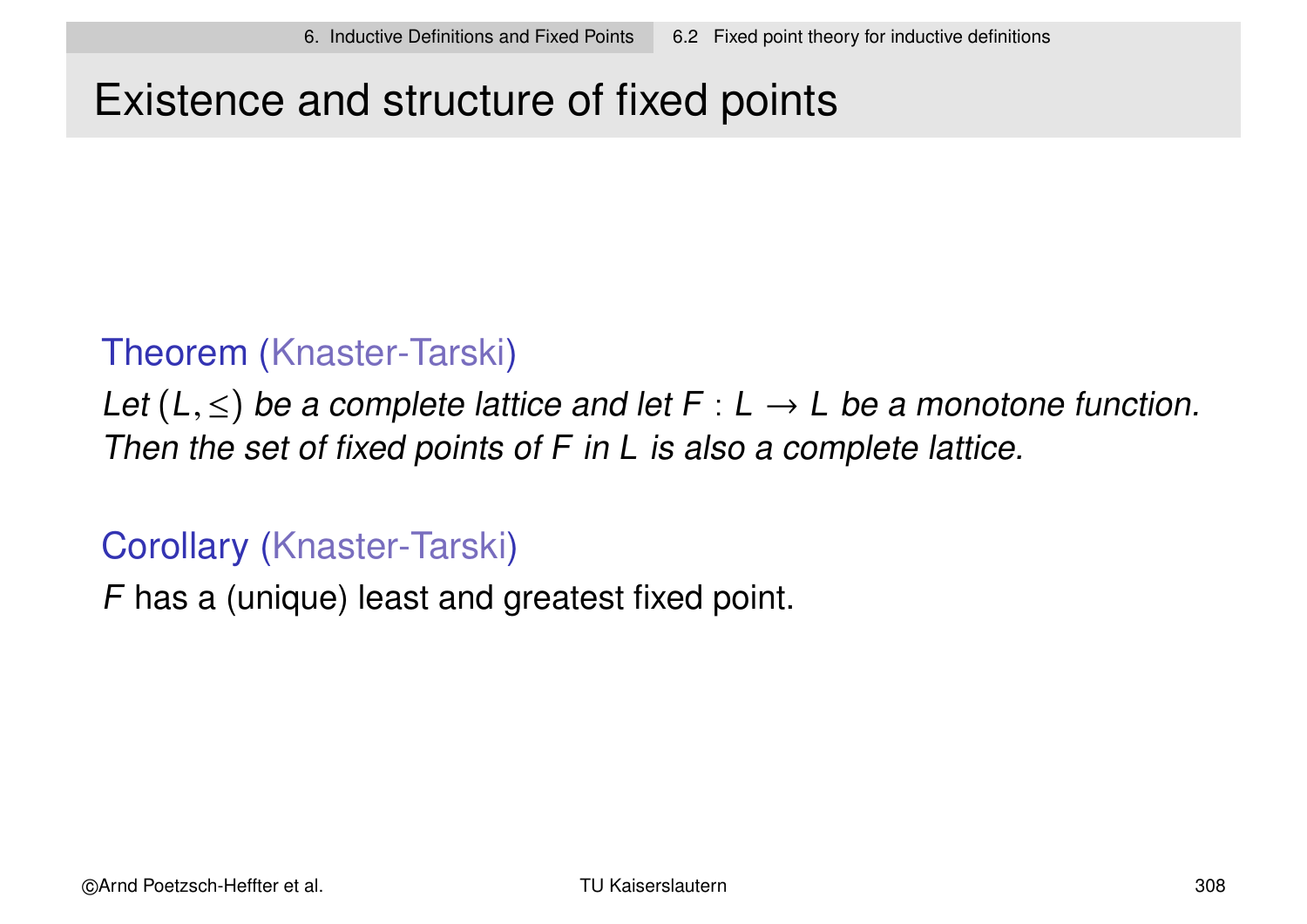# Existence and structure of fixed points

### Theorem (Knaster-Tarski)

Let  $(L, \leq)$  be a complete lattice and let F : L  $\rightarrow$  L be a monotone function. Then the set of fixed points of F in L is also a complete lattice.

### Corollary (Knaster-Tarski)

F has a (unique) least and greatest fixed point.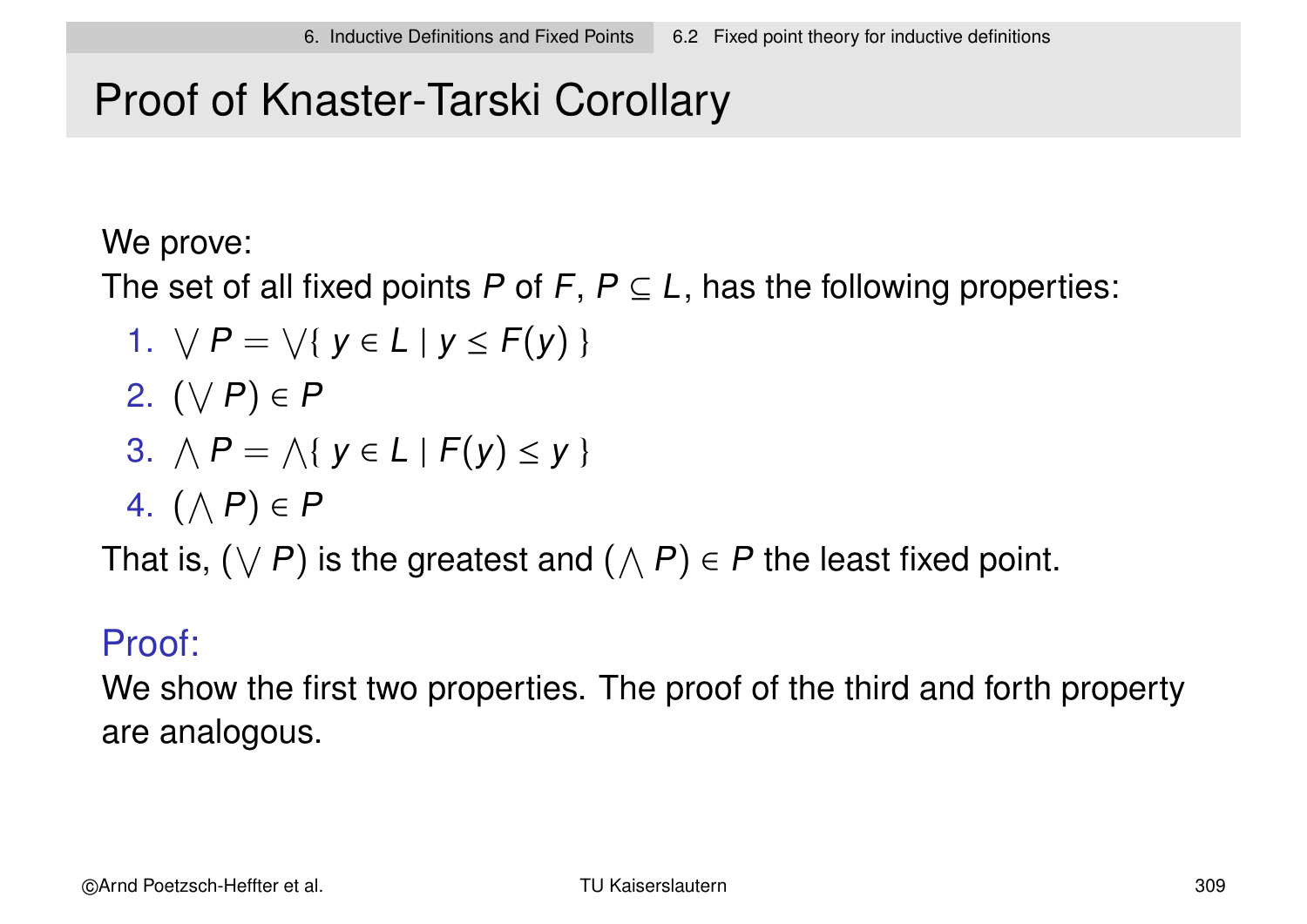# Proof of Knaster-Tarski Corollary

We prove:

The set of all fixed points P of F,  $P \subseteq L$ , has the following properties:

- 1.  $\forall P = \forall \{ y \in L \mid y \leq F(y) \}$
- 2.  $(\vee P) \in P$

3. 
$$
\bigwedge P = \bigwedge \{ y \in L \mid F(y) \leq y \}
$$

4.  $(\wedge P) \in P$ 

That is,  $(\vee P)$  is the greatest and  $(\wedge P) \in P$  the least fixed point.

### Proof:

We show the first two properties. The proof of the third and forth property are analogous.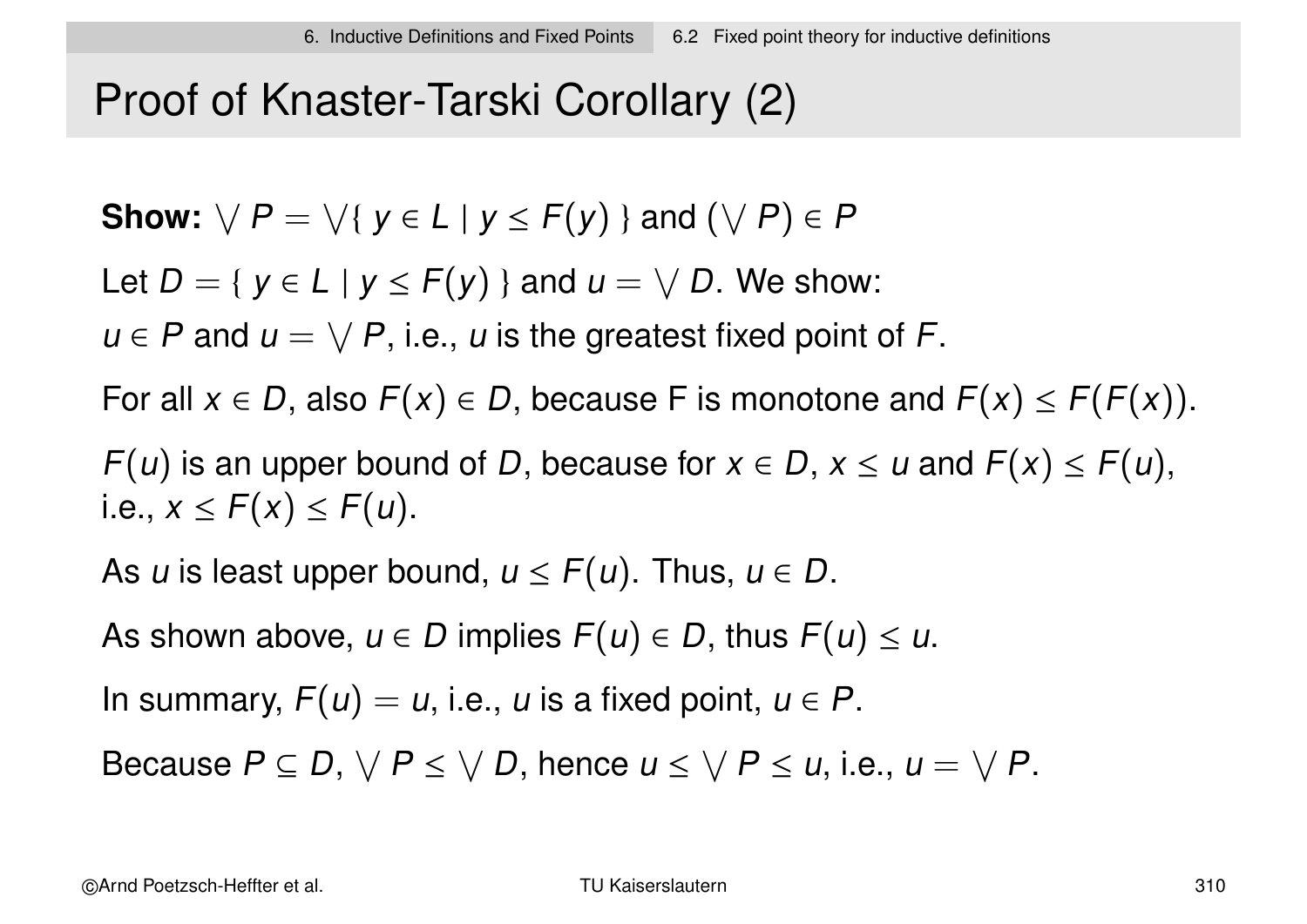# Proof of Knaster-Tarski Corollary (2)

Show: 
$$
\forall P = \forall \{ y \in L | y \le F(y) \}
$$
 and  $(\forall P) \in P$ 

Let  $D = \{ y \in L \mid y \leq F(y) \}$  and  $u = \sqrt{D}$ . We show:

 $u \in P$  and  $u = \sqrt{P}$ , i.e., u is the greatest fixed point of F.

For all  $x \in D$ , also  $F(x) \in D$ , because F is monotone and  $F(x) \leq F(F(x))$ .

 $F(u)$  is an upper bound of D, because for  $x \in D$ ,  $x \le u$  and  $F(x) \le F(u)$ , i.e.,  $x \leq F(x) \leq F(u)$ .

As u is least upper bound,  $u \leq F(u)$ . Thus,  $u \in D$ .

As shown above,  $u \in D$  implies  $F(u) \in D$ , thus  $F(u) \leq u$ .

In summary,  $F(u) = u$ , i.e., u is a fixed point,  $u \in P$ .

Because  $P \subseteq D$ ,  $\vee P \leq \vee D$ , hence  $u \leq \vee P \leq u$ , i.e.,  $u = \vee P$ .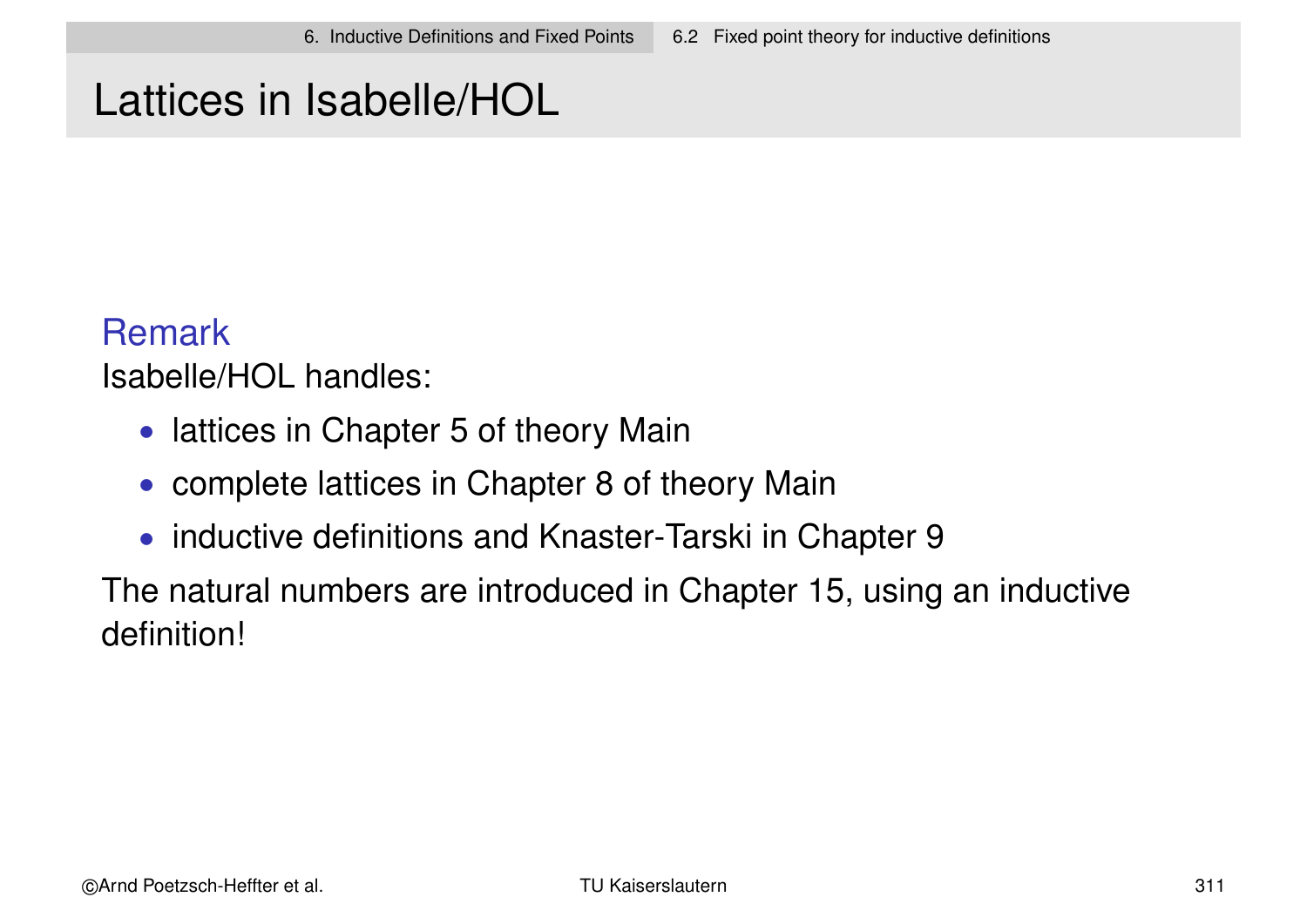# Lattices in Isabelle/HOL

#### **Remark**

Isabelle/HOL handles:

- lattices in Chapter 5 of theory Main
- complete lattices in Chapter 8 of theory Main
- inductive definitions and Knaster-Tarski in Chapter 9

The natural numbers are introduced in Chapter 15, using an inductive definition!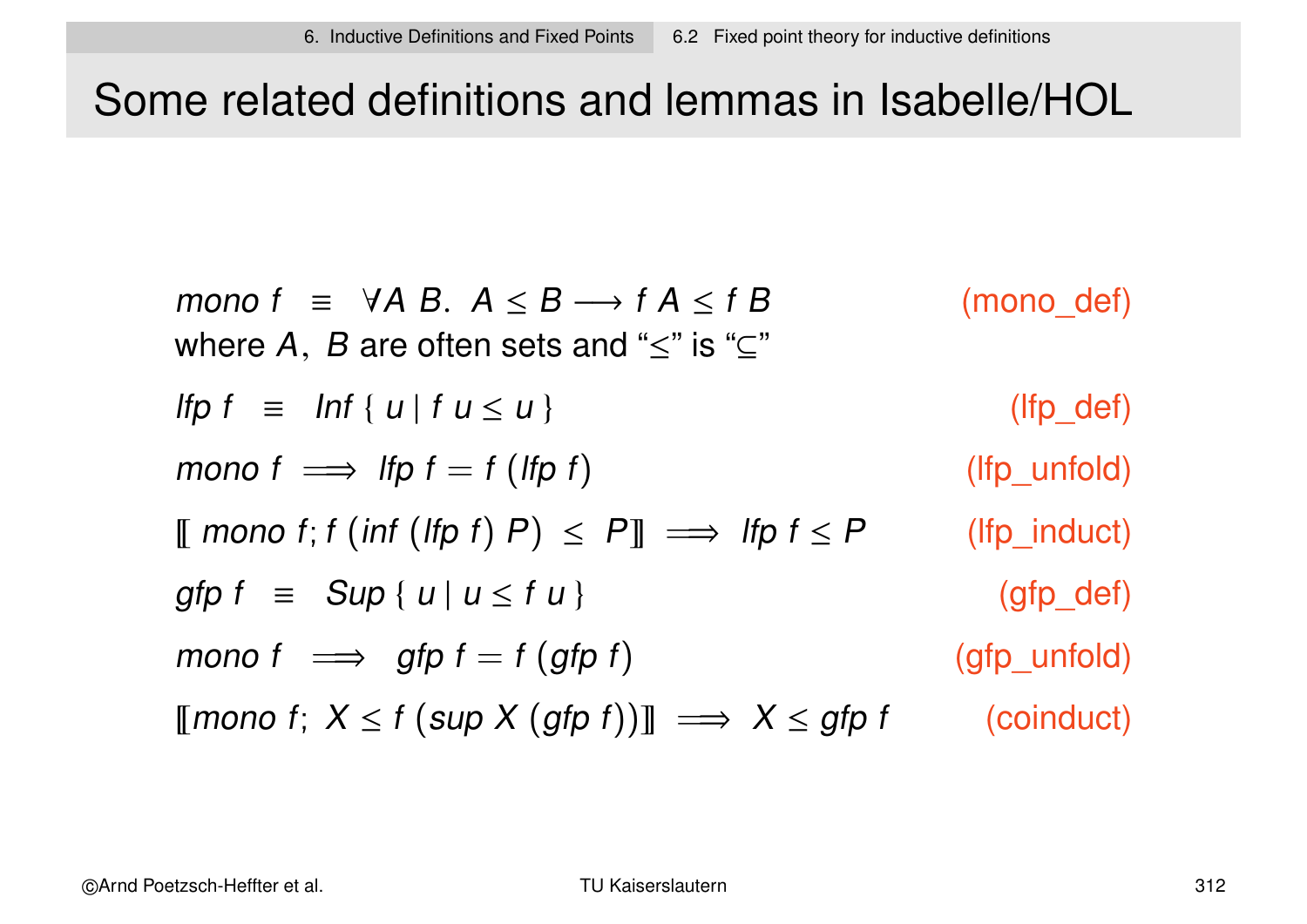# Some related definitions and lemmas in Isabelle/HOL

\n
$$
\text{mono } f \equiv \forall A \ B. \ A \leq B \longrightarrow f \ A \leq f \ B \qquad \text{(mono\_def)}
$$
\n
$$
\text{where } A, \ B \ \text{are often sets and } \leq^* \text{ is } \leq^* \text{}
$$
\n
$$
\text{If } p \ f \equiv \text{Inf} \{ u \mid f \ u \leq u \}
$$
\n
$$
\text{mono } f \implies \text{If } p \ f = f \ (\text{If } p \ f) \text{}
$$
\n
$$
\text{mono } f \colon f \ (\text{inf } (\text{If } p \ f) \ P) \leq P \text{]} \implies \text{If } p \ f \leq P \text{}
$$
\n
$$
\text{If } p \text{\_und (1)} \text{ then } \text{If } p \ f \equiv \text{Sup} \{ u \mid u \leq f \ u \}
$$
\n
$$
\text{mono } f \implies \text{gfp } f = f \ (\text{gfp } f) \text{}
$$
\n
$$
\text{mono } f \Rightarrow \text{gfp } f = f \ (\text{gfp } f) \text{}
$$
\n
$$
\text{mono } f \colon X \leq f \ (\text{sup } X \ (\text{gfp } f)) \text{] } \implies X \leq \text{gfp } f \text{}
$$
\n
$$
\text{(coinduct)}
$$
\n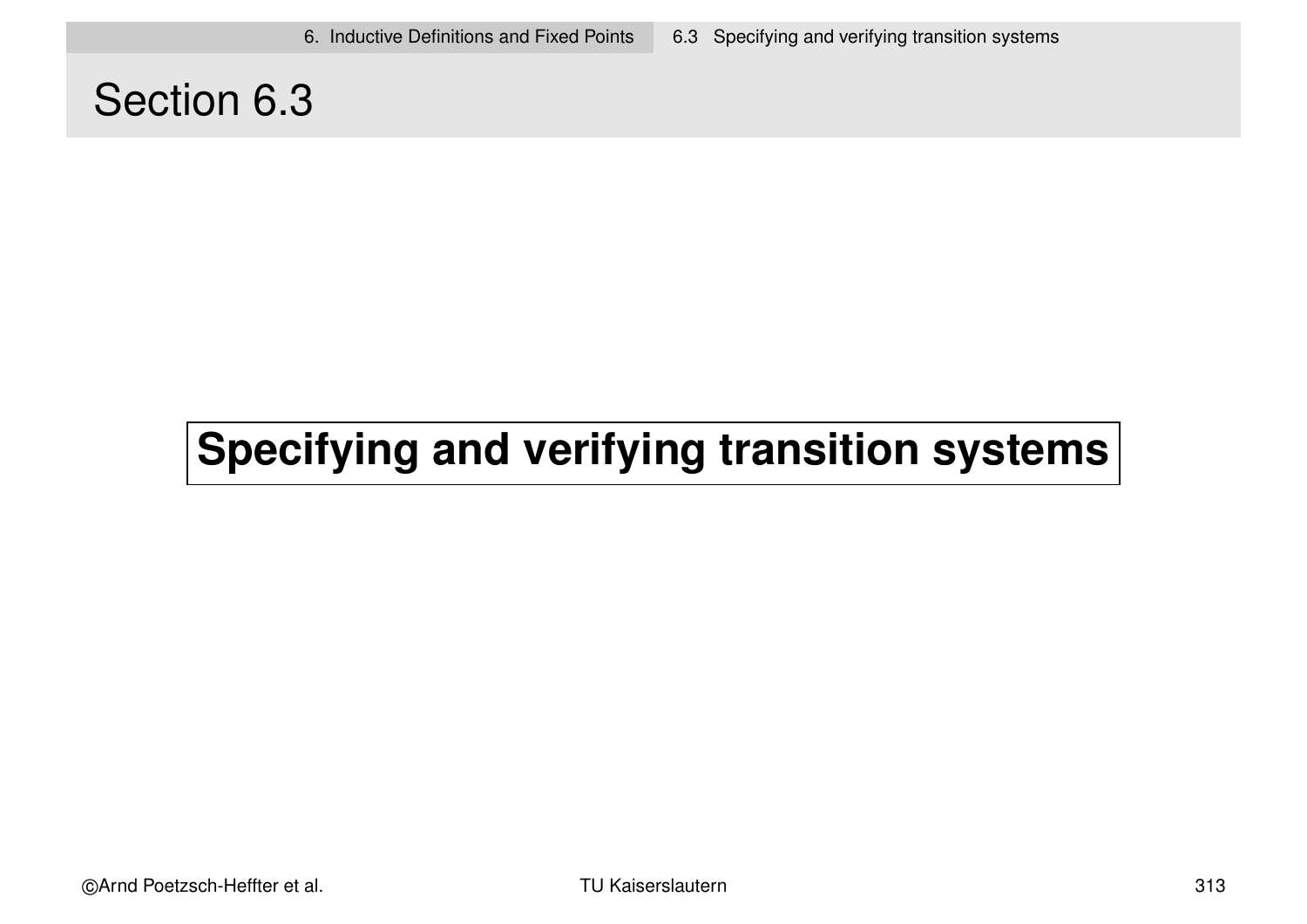### Section 6.3

# **Specifying and verifying transition systems**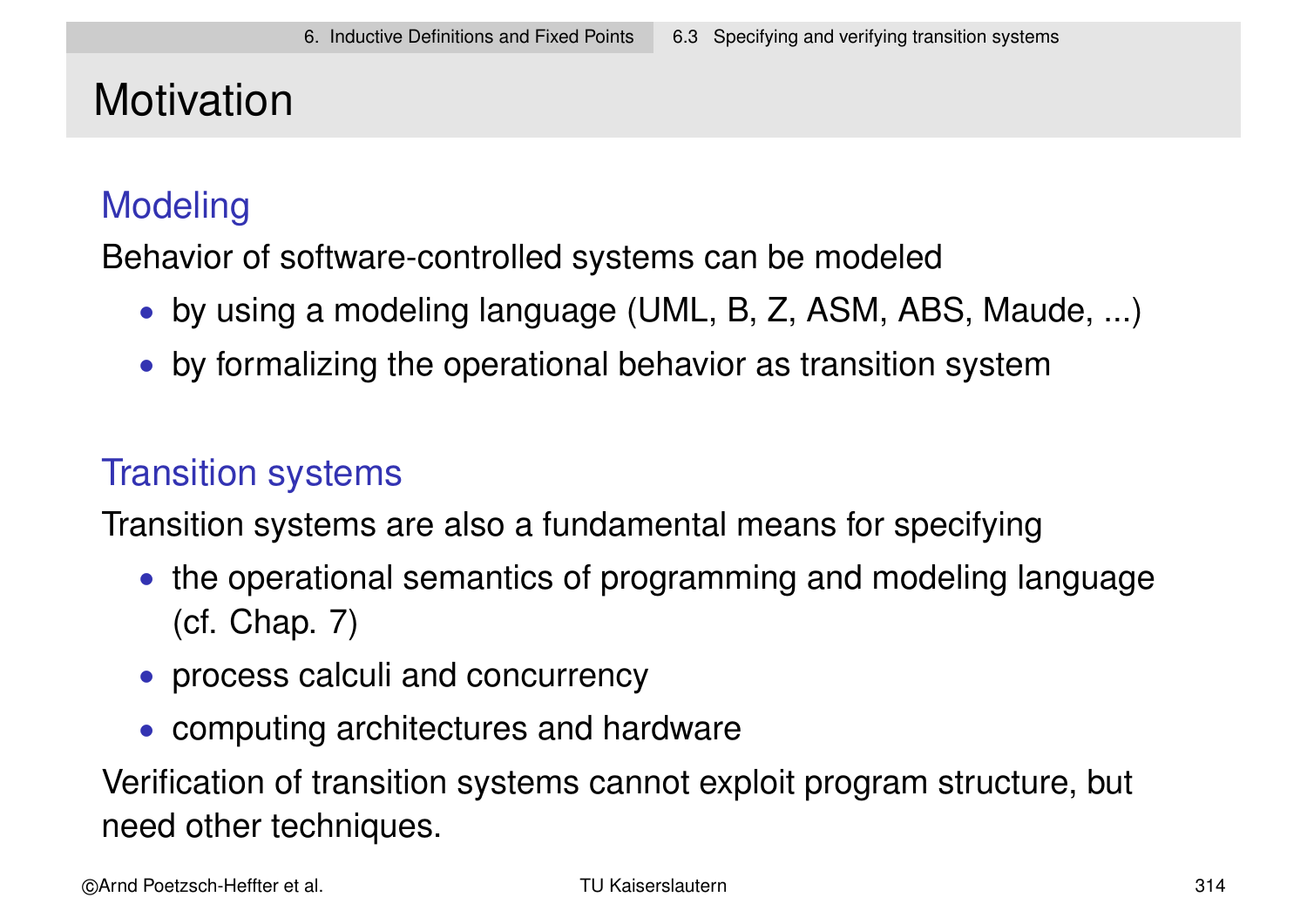# **Motivation**

### **Modeling**

Behavior of software-controlled systems can be modeled

- by using a modeling language (UML, B, Z, ASM, ABS, Maude, ...)
- by formalizing the operational behavior as transition system

### Transition systems

Transition systems are also a fundamental means for specifying

- the operational semantics of programming and modeling language (cf. Chap. 7)
- process calculi and concurrency
- computing architectures and hardware

Verification of transition systems cannot exploit program structure, but need other techniques.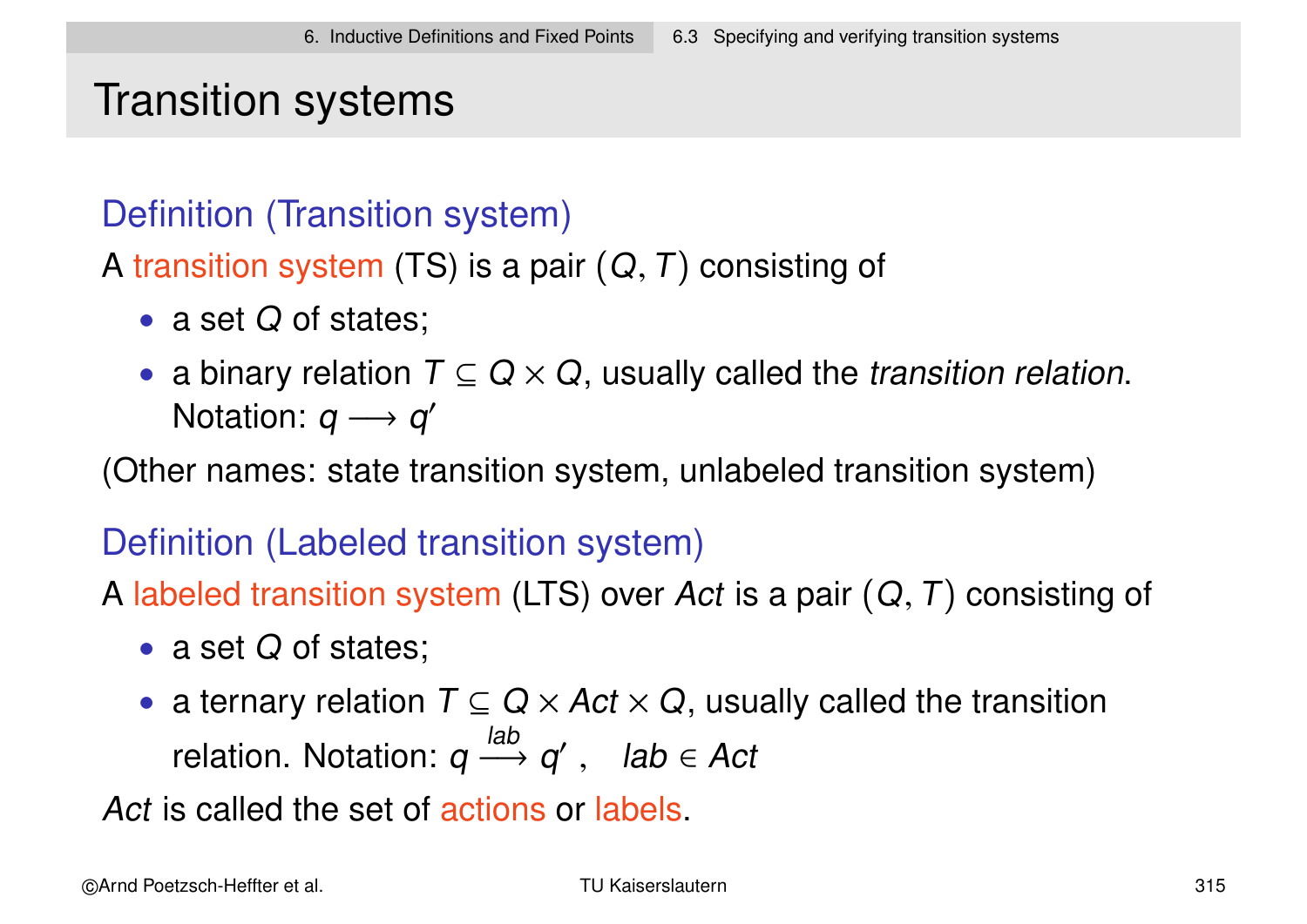# Transition systems

### Definition (Transition system)

A transition system (TS) is a pair  $(Q, T)$  consisting of

- a set Q of states;
- a binary relation  $T \subseteq Q \times Q$ , usually called the *transition relation*. Notation:  $q \rightarrow q'$

(Other names: state transition system, unlabeled transition system)

### Definition (Labeled transition system)

- A labeled transition system (LTS) over Act is a pair  $(Q, T)$  consisting of
	- a set Q of states;
	- a ternary relation  $T \subseteq Q \times Act \times Q$ , usually called the transition relation. Notation: q lab  $\longrightarrow q'$ , lab ∈ Act

Act is called the set of actions or labels.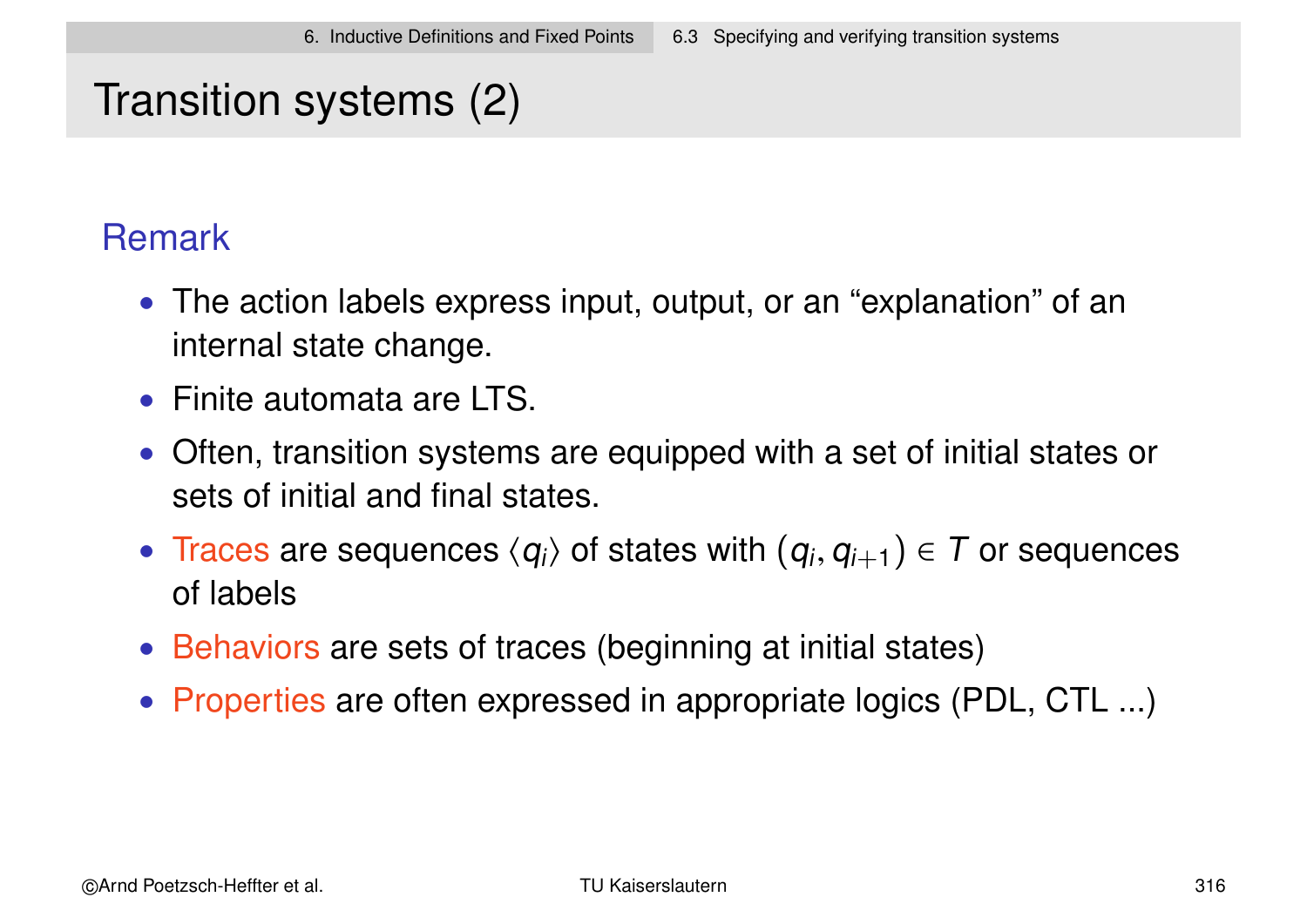# Transition systems (2)

### **Remark**

- The action labels express input, output, or an "explanation" of an internal state change.
- Finite automata are LTS.
- Often, transition systems are equipped with a set of initial states or sets of initial and final states.
- Traces are sequences  $\langle q_i \rangle$  of states with  $(q_i,q_{i+1}) \in T$  or sequences of labels
- Behaviors are sets of traces (beginning at initial states)
- Properties are often expressed in appropriate logics (PDL, CTL ...)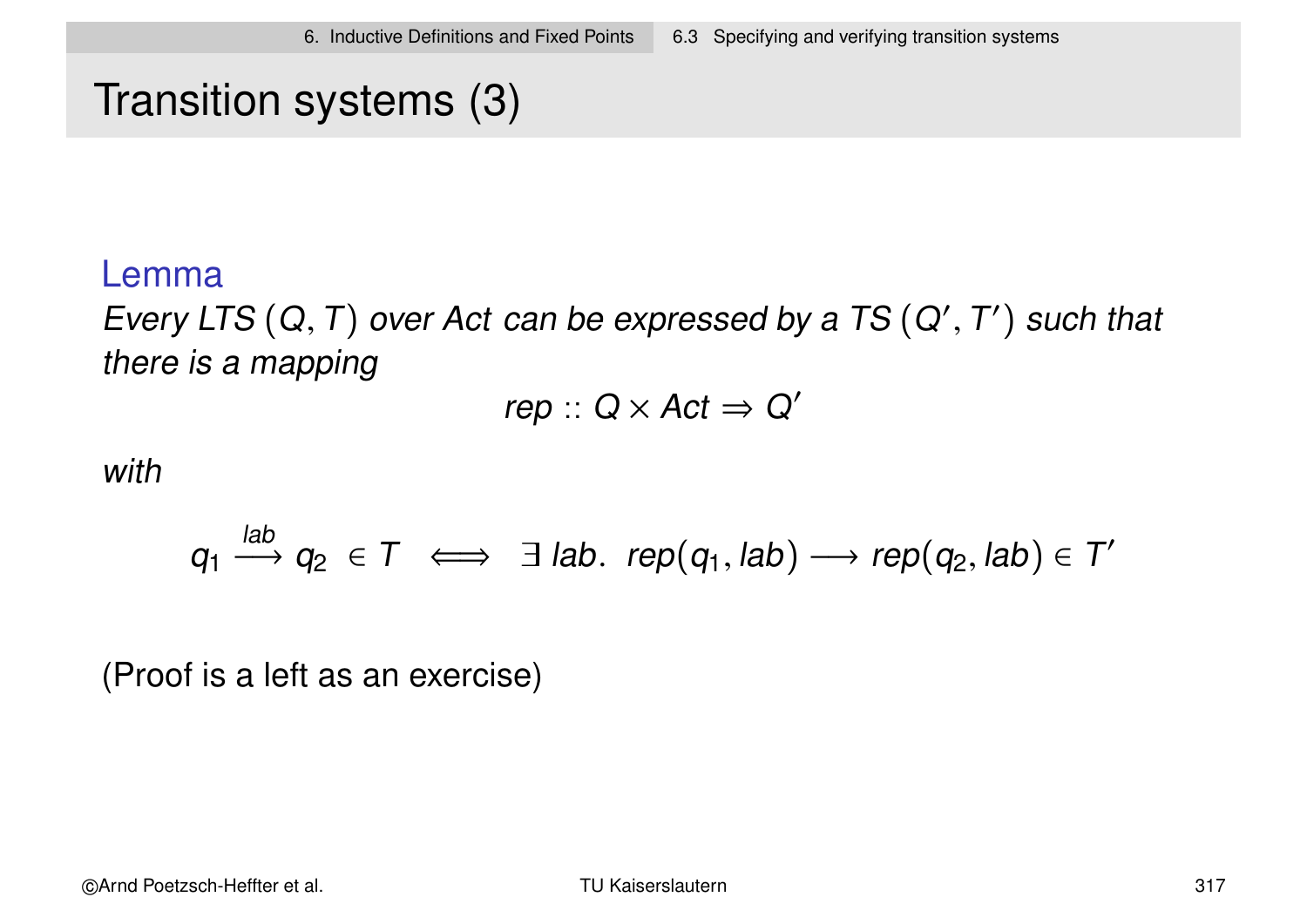# Transition systems (3)

#### Lemma

Every LTS  $(Q, T)$  over Act can be expressed by a TS  $(Q', T')$  such that there is a mapping

 $rep :: Q \times Act \Rightarrow Q'$ 

with

$$
q_1 \xrightarrow{lab} q_2 \in T \iff \exists lab. rep(q_1, lab) \longrightarrow rep(q_2, lab) \in T'
$$

(Proof is a left as an exercise)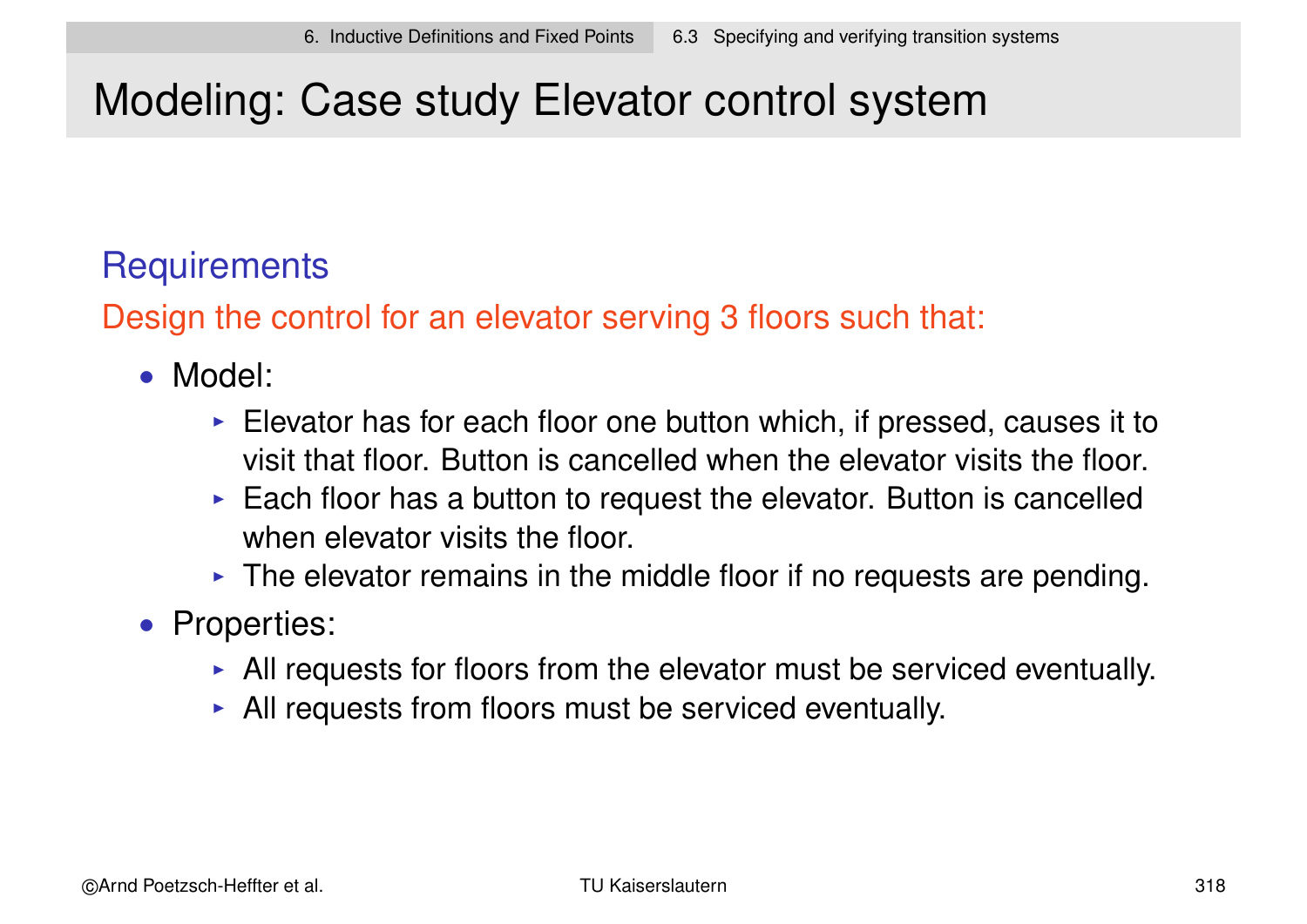# Modeling: Case study Elevator control system

### **Requirements**

Design the control for an elevator serving 3 floors such that:

- Model:
	- $\triangleright$  Elevator has for each floor one button which, if pressed, causes it to visit that floor. Button is cancelled when the elevator visits the floor.
	- $\triangleright$  Each floor has a button to request the elevator. Button is cancelled when elevator visits the floor.
	- $\triangleright$  The elevator remains in the middle floor if no requests are pending.
- Properties:
	- $\triangleright$  All requests for floors from the elevator must be serviced eventually.
	- $\triangleright$  All requests from floors must be serviced eventually.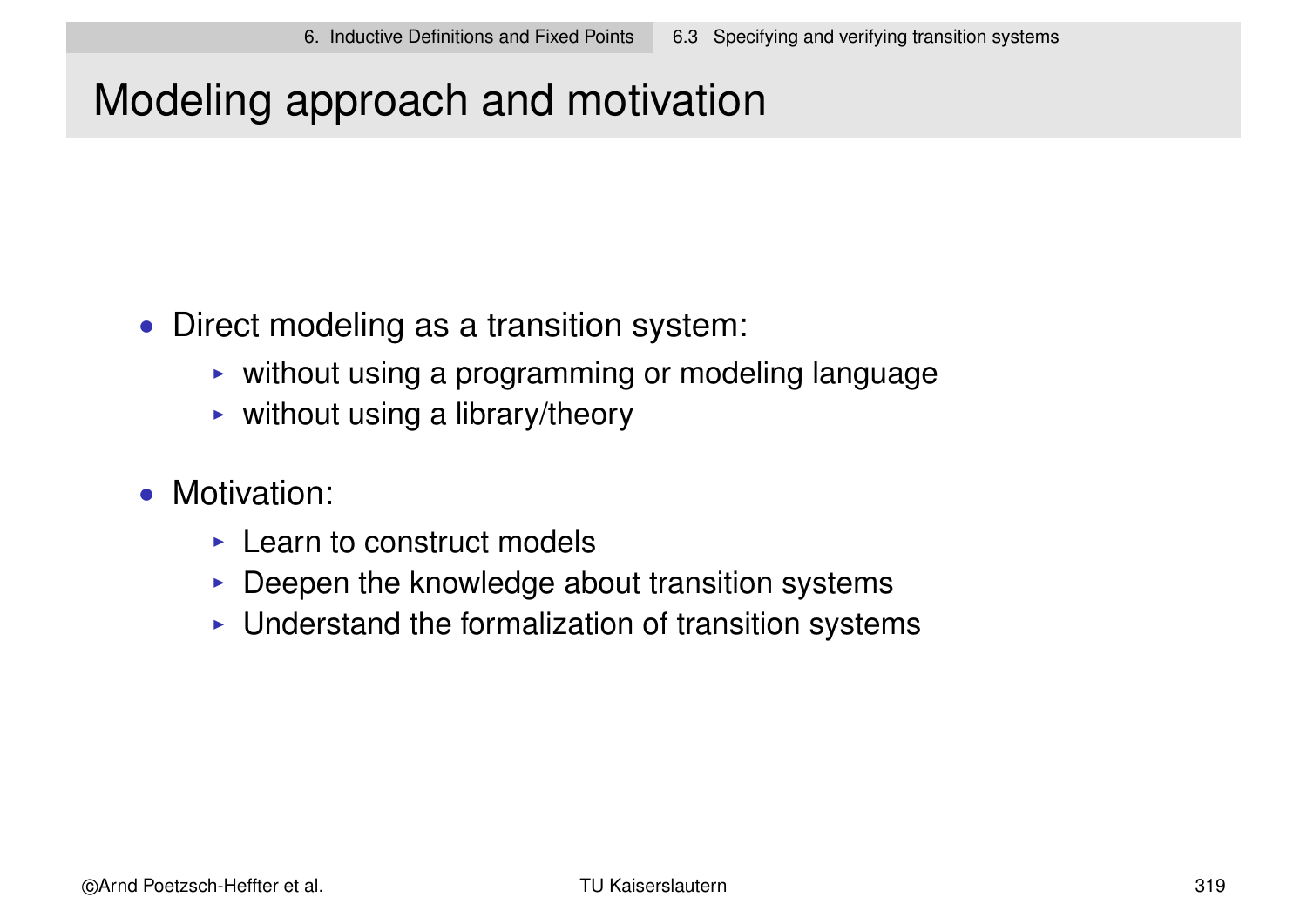# Modeling approach and motivation

- Direct modeling as a transition system:
	- $\triangleright$  without using a programming or modeling language
	- $\triangleright$  without using a library/theory
- Motivation:
	- $\triangleright$  Learn to construct models
	- $\triangleright$  Deepen the knowledge about transition systems
	- $\triangleright$  Understand the formalization of transition systems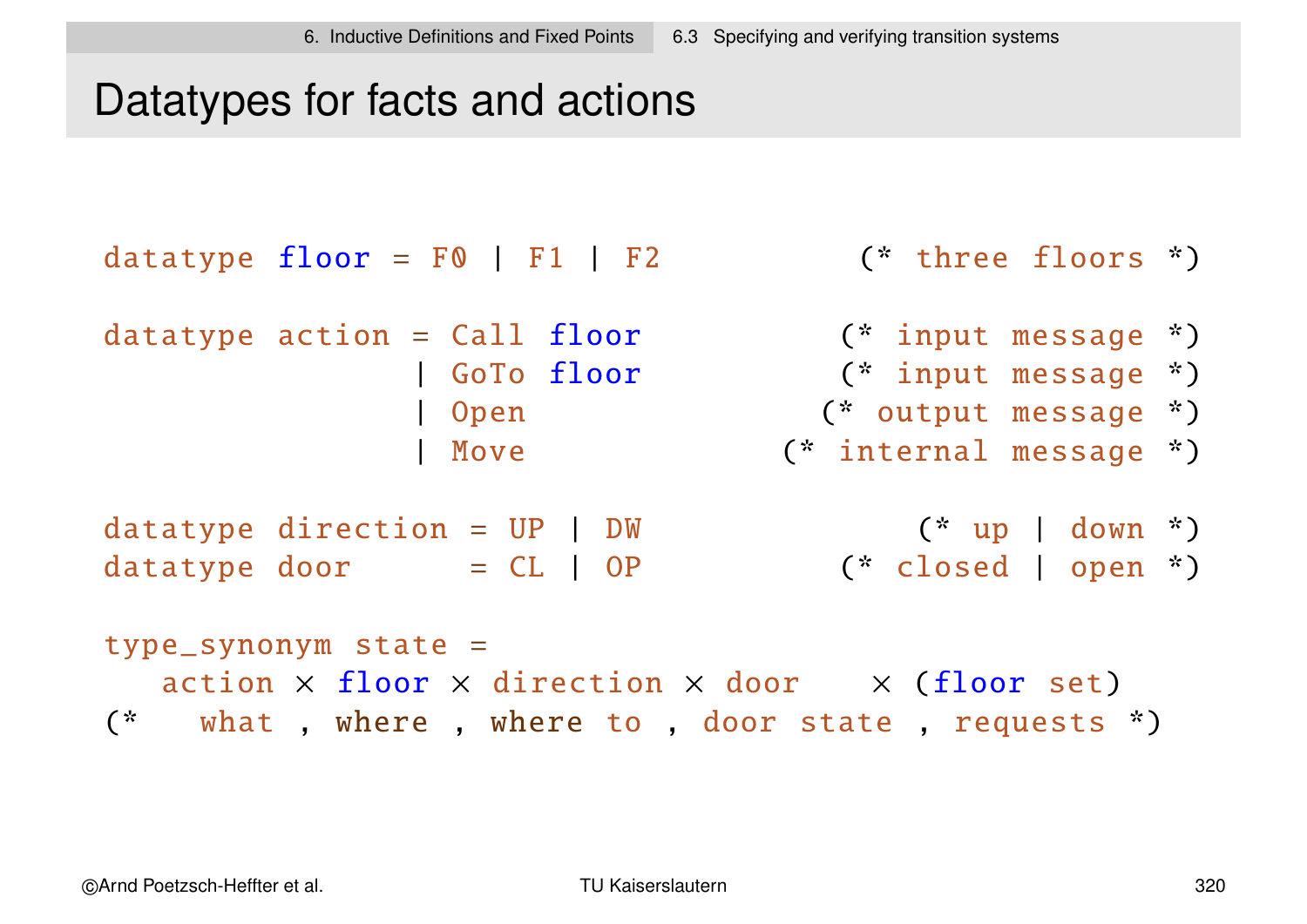### Datatypes for facts and actions

```
datatype floor = F0 | F1 | F2 (* three floors *)
datatype action = Call floor (* input message *)| GoTo floor (* input message *)
                Open (* output message *)
                Move (* internal message *)datatype direction = UP | DW (* up | down *)datatype door = CL \mid OP \qquad (*) closed | open *)type\_symonym state =
  action \times floor \times direction \times door \times (floor set)
(* what , where , where to , door state , requests *)
```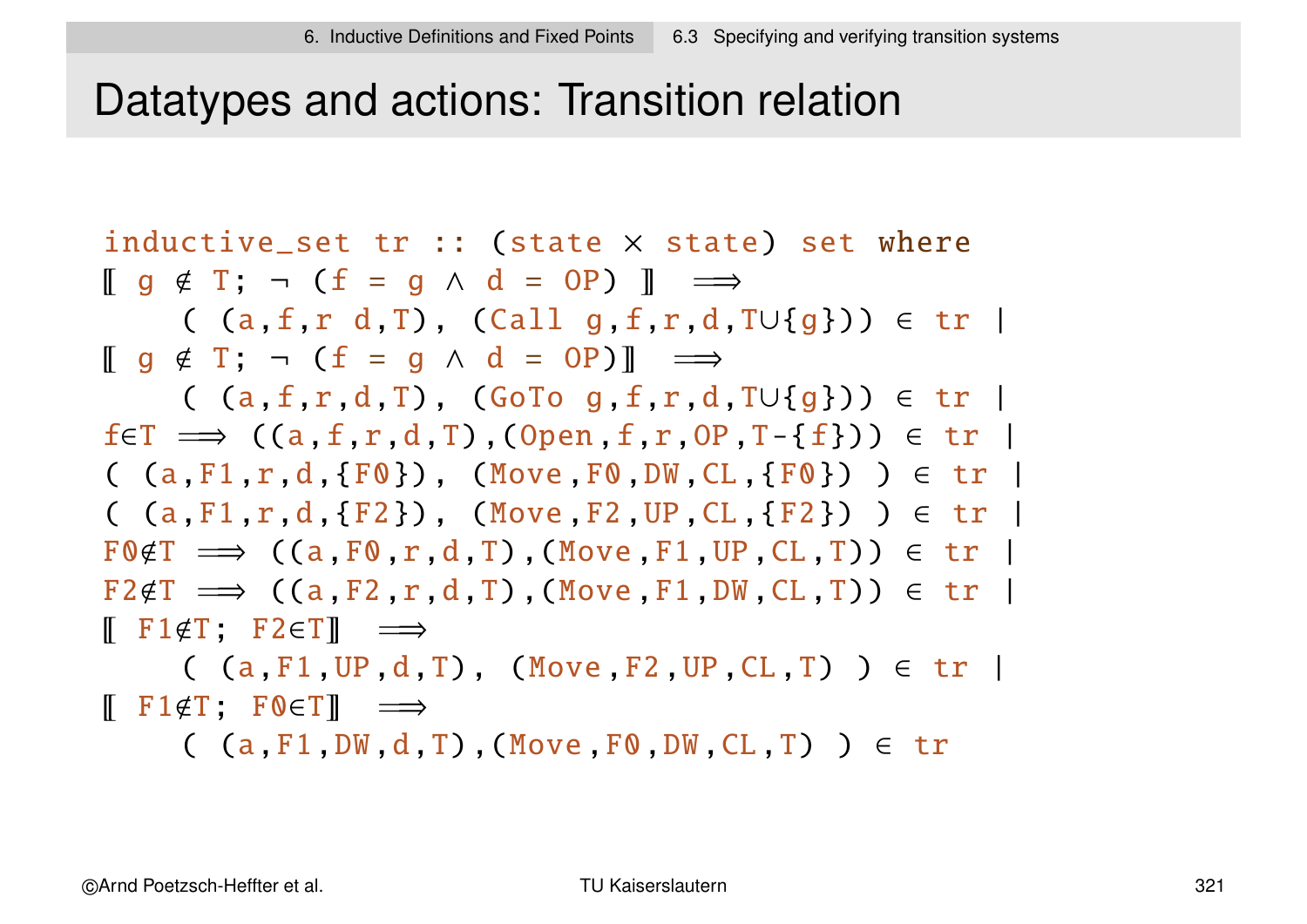### Datatypes and actions: Transition relation

inductive\_set tr :: (state × state) set where  $\begin{bmatrix} g & \notin & T \\ \end{bmatrix}$ ;  $\neg$  (f = g  $\land$  d = OP)  $\begin{bmatrix} \Box & \longrightarrow \\ \end{bmatrix}$ (  $(a, f, r, d, T)$ , (Call g,f,r,d,T∪{g})) ∈ tr |  $\begin{bmatrix} q \notin T \\ \end{bmatrix}$ ;  $\neg$  ( $f = q \land d = OP$ ) =  $\Rightarrow$  $($  (a,f,r,d,T), (GoTo g,f,r,d,T∪{g}))  $\in$  tr |  $f \in T \implies ((a, f, r, d, T), (Open, f, r, OP, T - \{f\})) \in tr$  $($  (a,F1,r,d,{F0}), (Move F0,DW,CL,{F0}) )  $\in$  tr |  $($  (a,F1,r,d,{F2}), (Move F2, UP, CL, {F2})  $)$   $\in$  tr |  $F\odot F \implies ((a, F\odot r, d, T), (Move, F1, UP, CL, T)) \in tr$  $F2 \notin T \implies ((a, F2, r, d, T), (Move, F1, DW, CL, T)) \in tr$  $\mathbb{F}$  F1 $\notin$ T: F2 $\in$ T $\mathbb{F}$   $\implies$ 

 $( a, F1, UP, d, T)$ ,  $(Move, F2, UP, CL, T)$  )  $\in \mathsf{tr}$  $\begin{bmatrix} \top & F1 \notin T \\ \end{bmatrix}$ ; FOET  $\Rightarrow$ 

 $($  (a, F1,DW, d,T), (Move F0,DW, CL,T) )  $\in$  tr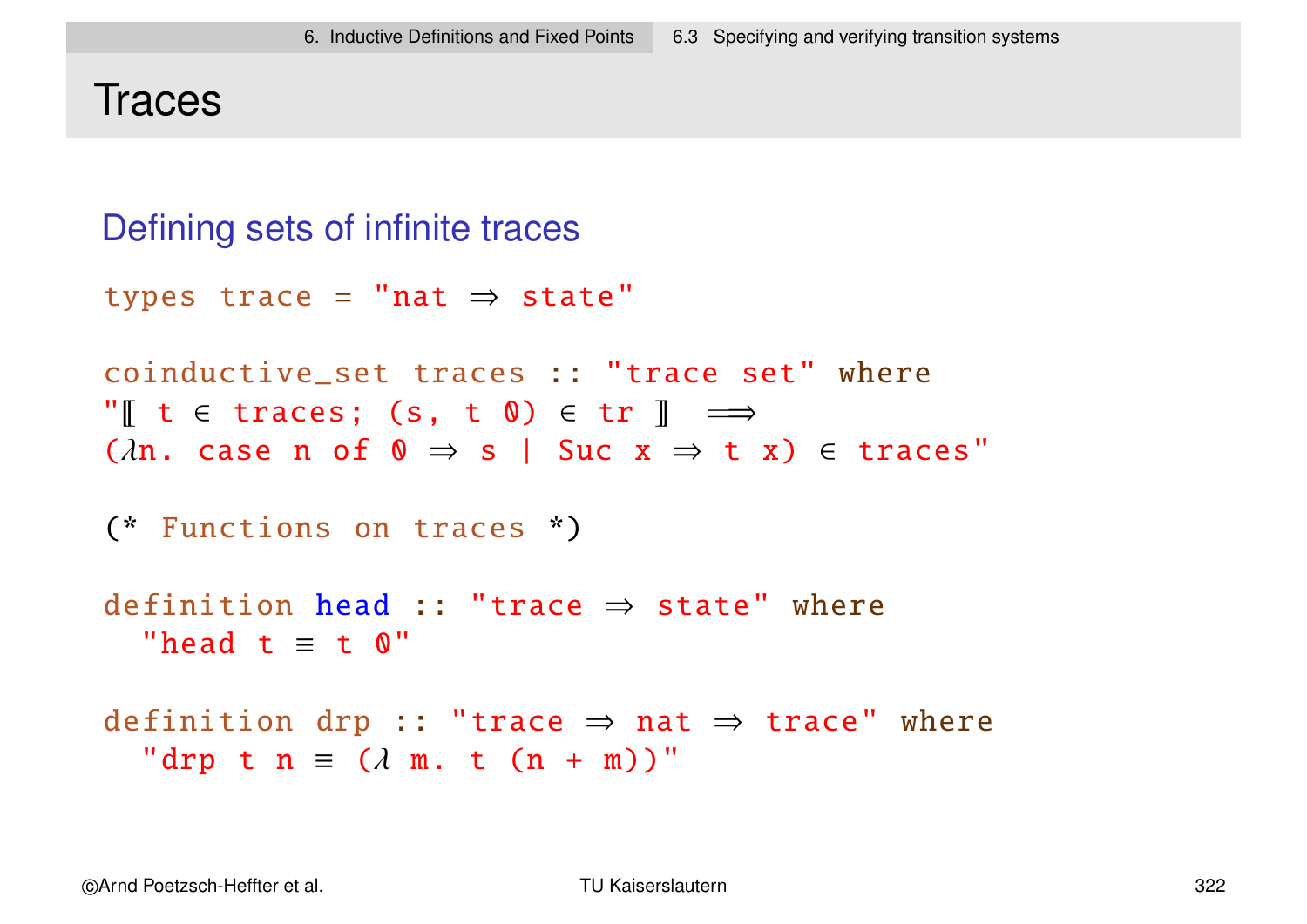### **Traces**

```
Defining sets of infinite traces
types trace =
"nat ⇒ state"
coinductive_set traces :: "trace set" where
"\lbrack \; \rbrack t \in traces; (s, t \; \mathbf{0}) \in tr \; \rbrack \; \; \implies(\lambdan. case n of 0 \Rightarrow s | Suc x \Rightarrow t x) \in traces"
(* Functions on traces *)
definition head :: "trace \Rightarrow state" where
  "head t \equiv t 0"
definition drp :: "trace \Rightarrow nat \Rightarrow trace" where
  "drp t n \equiv (\lambda m. t (n + m))"
```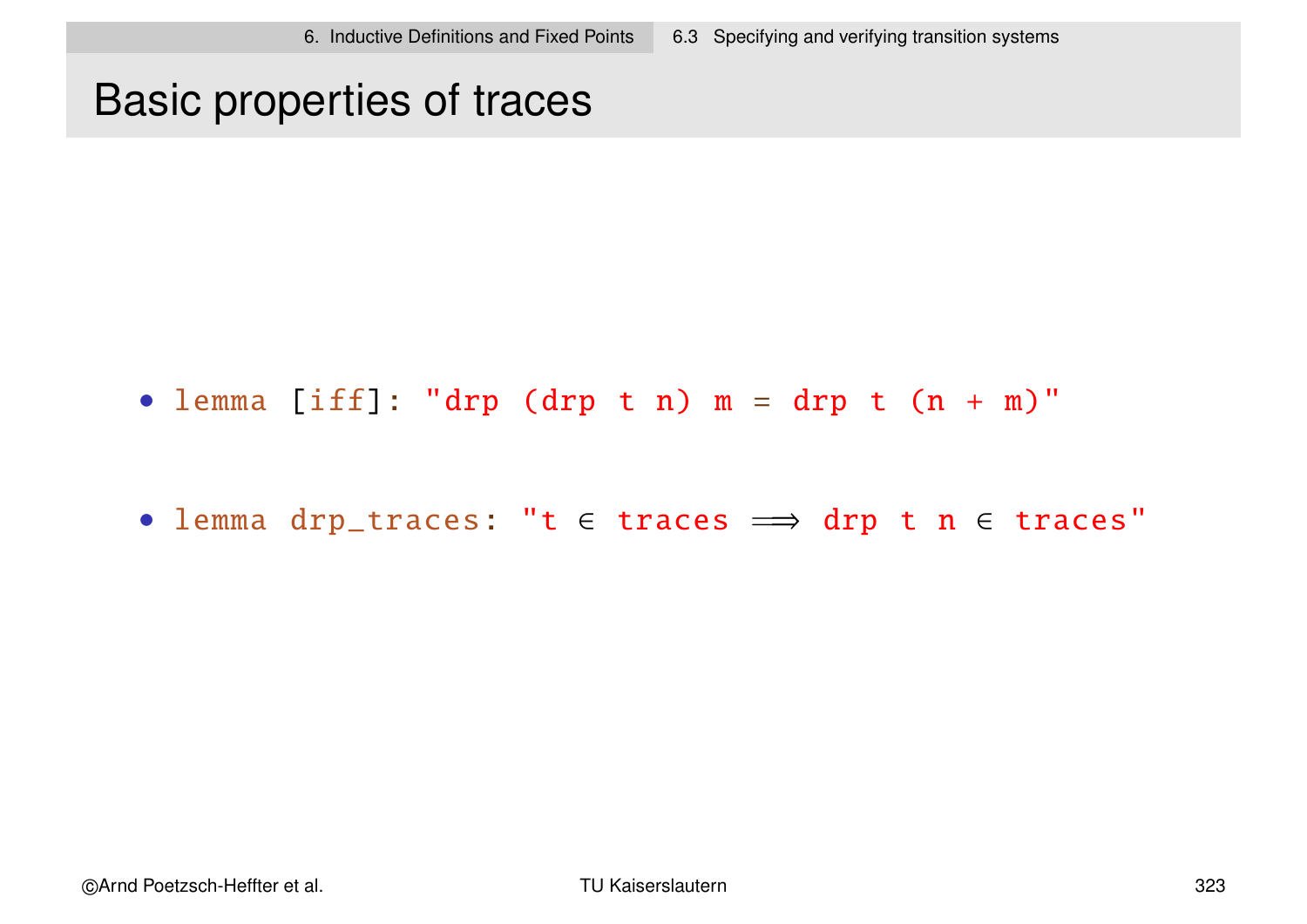### Basic properties of traces

- lemma [iff]: "drp (drp t n)  $m = drp$  t (n + m)"
- lemma drp\_traces: "t ∈ traces = drp t n ∈ traces"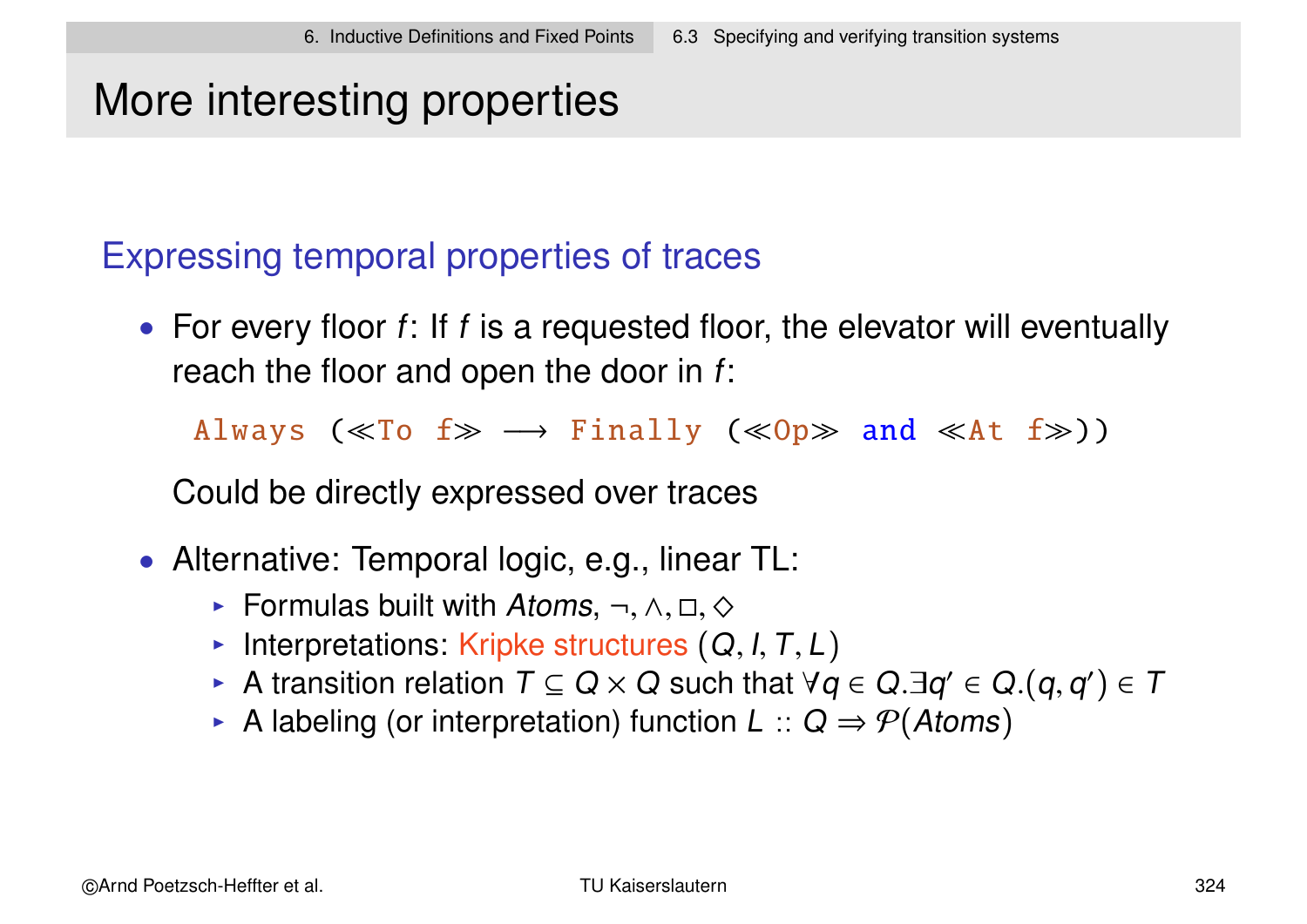# More interesting properties

### Expressing temporal properties of traces

• For every floor  $f$ : If  $f$  is a requested floor, the elevator will eventually reach the floor and open the door in f:

Always ( $\ll$ To f $\gg$   $\rightarrow$  Finally ( $\ll$ Op $\gg$  and  $\ll$ At f $\gg$ ))

Could be directly expressed over traces

- Alternative: Temporal logic, e.g., linear TL:
	- $\triangleright$  Formulas built with Atoms,  $\neg, \wedge, \Box, \diamondsuit$
	- Interpretations: Kripke structures  $(Q, I, T, L)$
	- ► A transition relation  $T \subseteq Q \times Q$  such that  $\forall q \in Q . \exists q' \in Q . (q,q') \in T$
	- A labeling (or interpretation) function  $L :: Q \Rightarrow \mathcal{P}(Atoms)$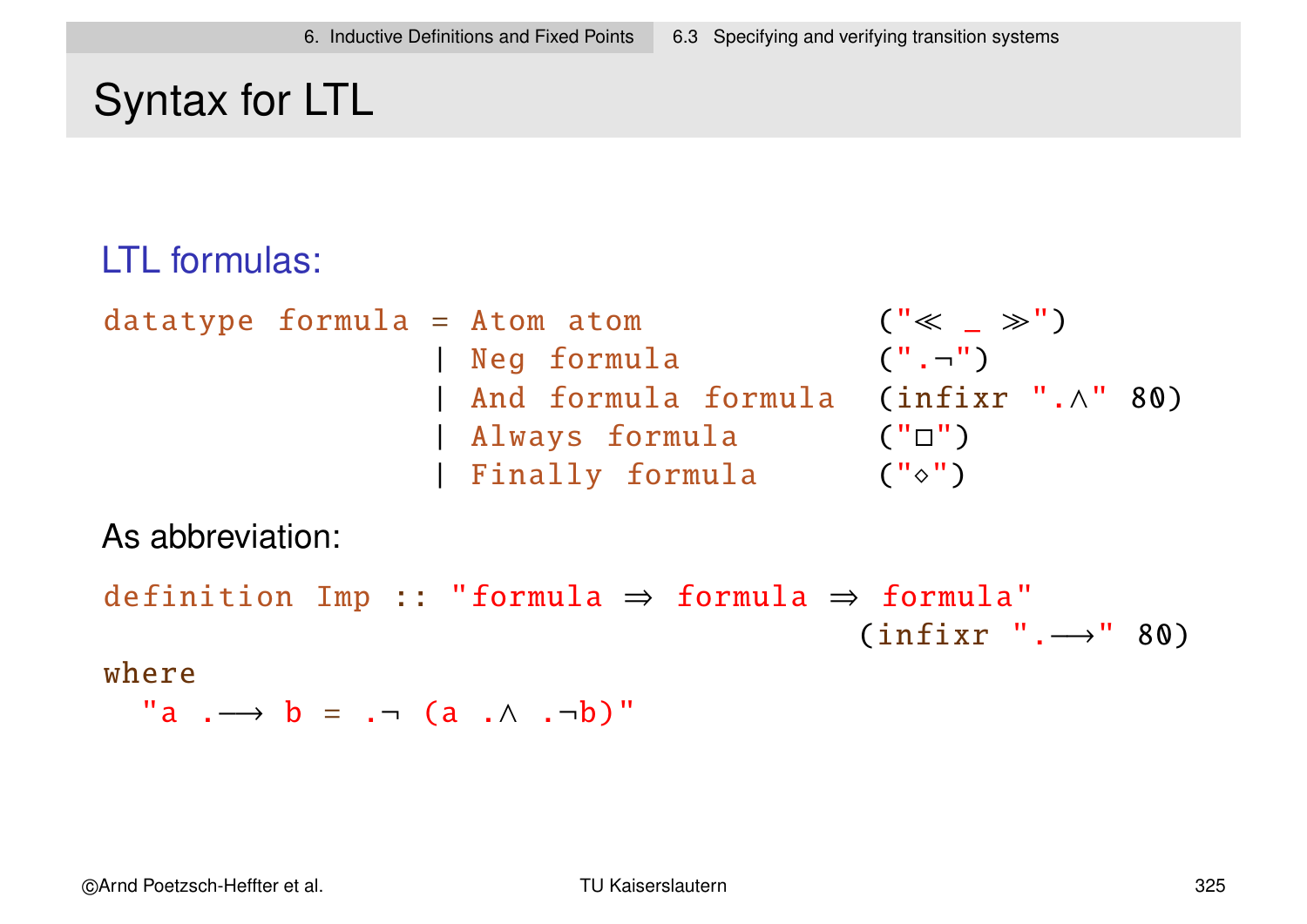# Syntax for LTL

### LTL formulas:

datatype formula = Atom atom (" \_ ") | Neg formula (".¬ ") | And formula formula (infixr ".∧" 80) | Always formula ("") | Finally formula ("")

As abbreviation:

```
definition Imp :: "formula ⇒ formula ⇒ formula"
                                        (intfixr ".-") " 80)
```
#### where

$$
\text{"a } \longrightarrow b = \neg \neg (a \land \neg b) \text{"}
$$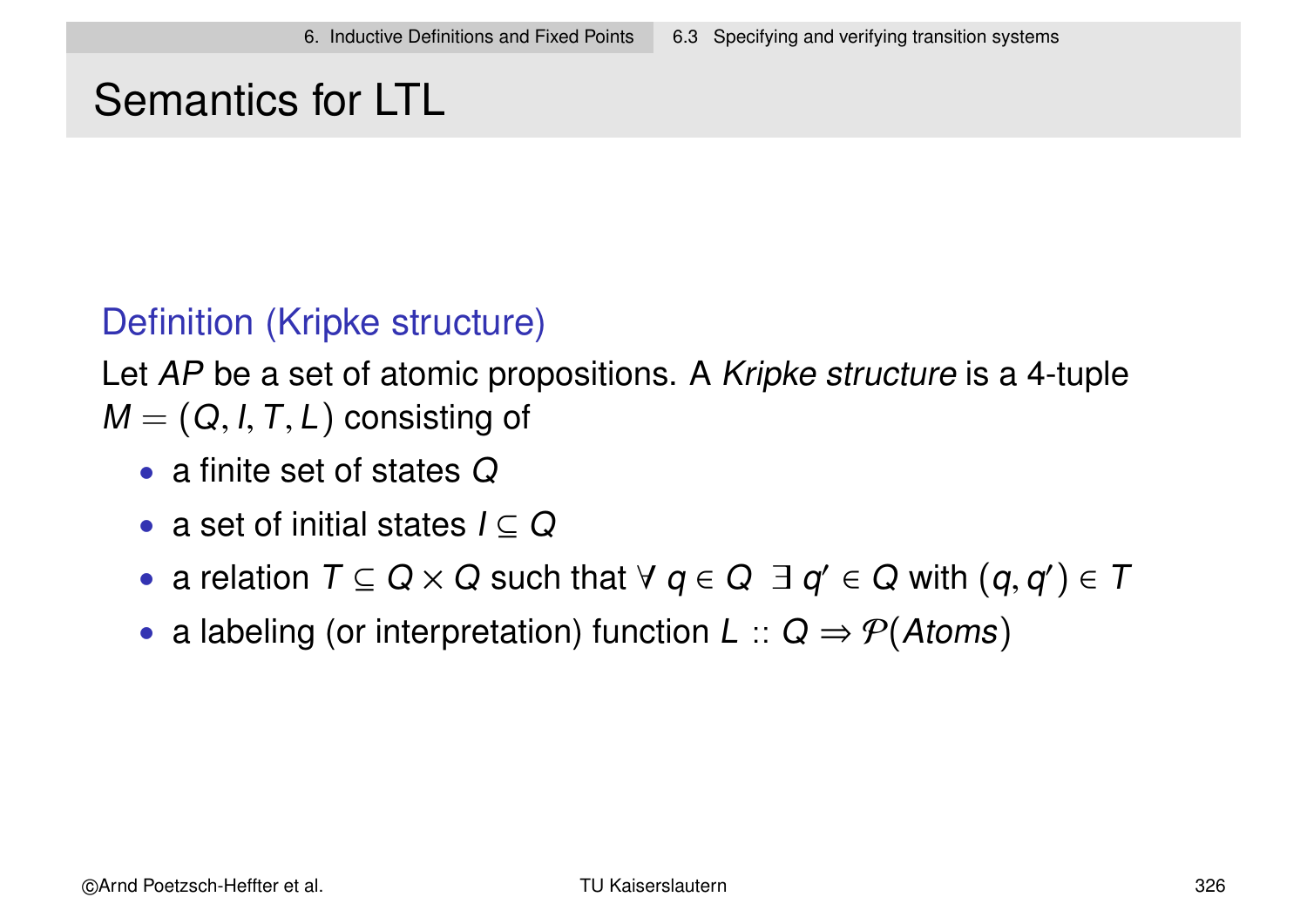# Semantics for LTL

### Definition (Kripke structure)

Let AP be a set of atomic propositions. A Kripke structure is a 4-tuple  $M = (Q, I, T, L)$  consisting of

- a finite set of states Q
- a set of initial states  $I \subseteq Q$
- a relation  $T \subseteq Q \times Q$  such that  $\forall q \in Q \exists q' \in Q$  with  $(q,q') \in T$
- a labeling (or interpretation) function  $L :: Q \Rightarrow P(A \text{toms})$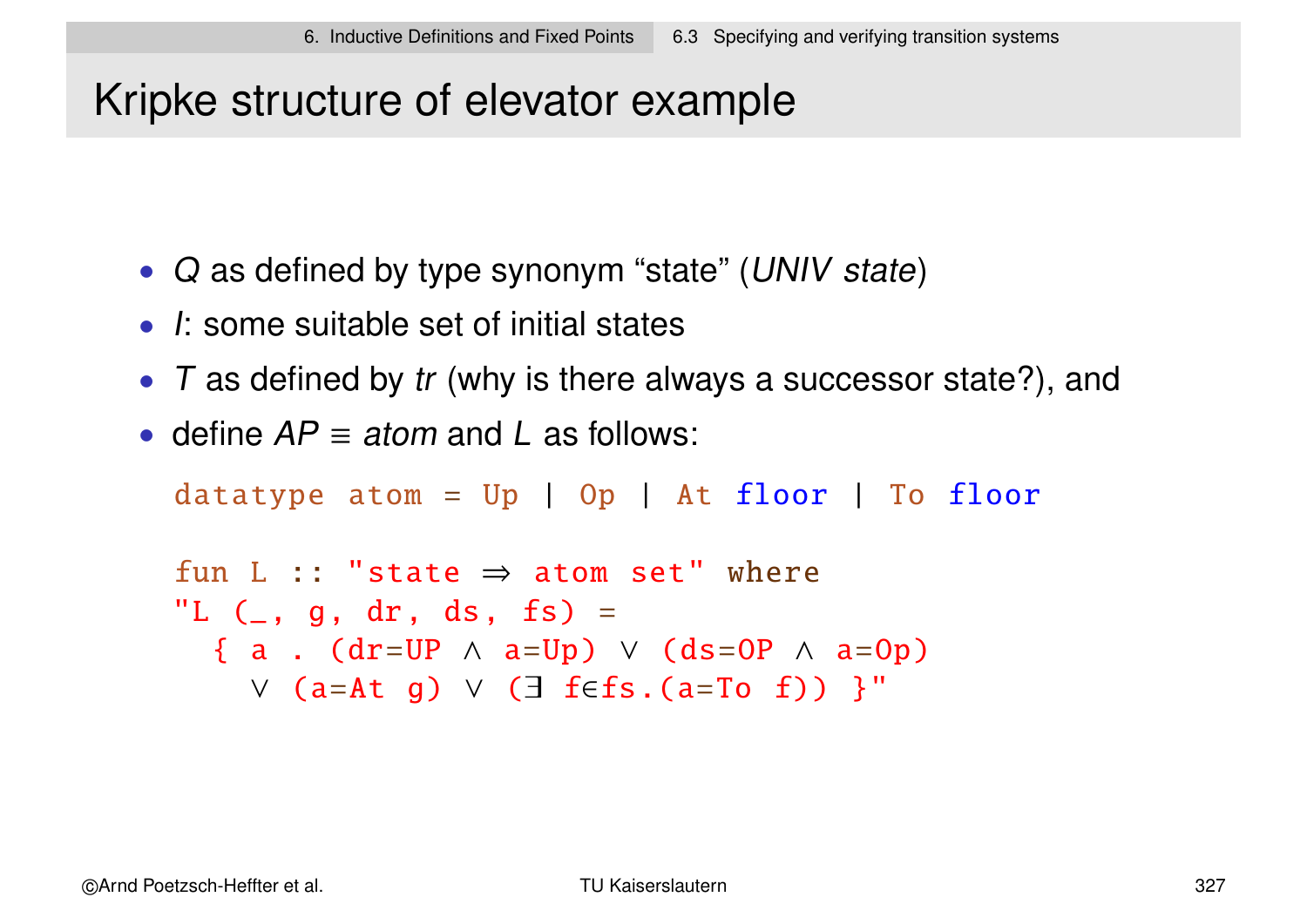# Kripke structure of elevator example

- Q as defined by type synonym "state" (UNIV state)
- I: some suitable set of initial states
- $\top$  as defined by tr (why is there always a successor state?), and
- define  $AP \equiv atom$  and L as follows:

datatype atom =  $Up$  | Op | At  $floor$  | To  $floor$ 

```
fun L :: "state \Rightarrow atom set" where
"L (\_, g, dr, ds, fs) =
  \{ a . (dr=UP \land a=Up) \lor (ds=OP \land a=Op)
    ∨ (a=At g) ∨ (∃ f∈fs.(a=To f)) }"
```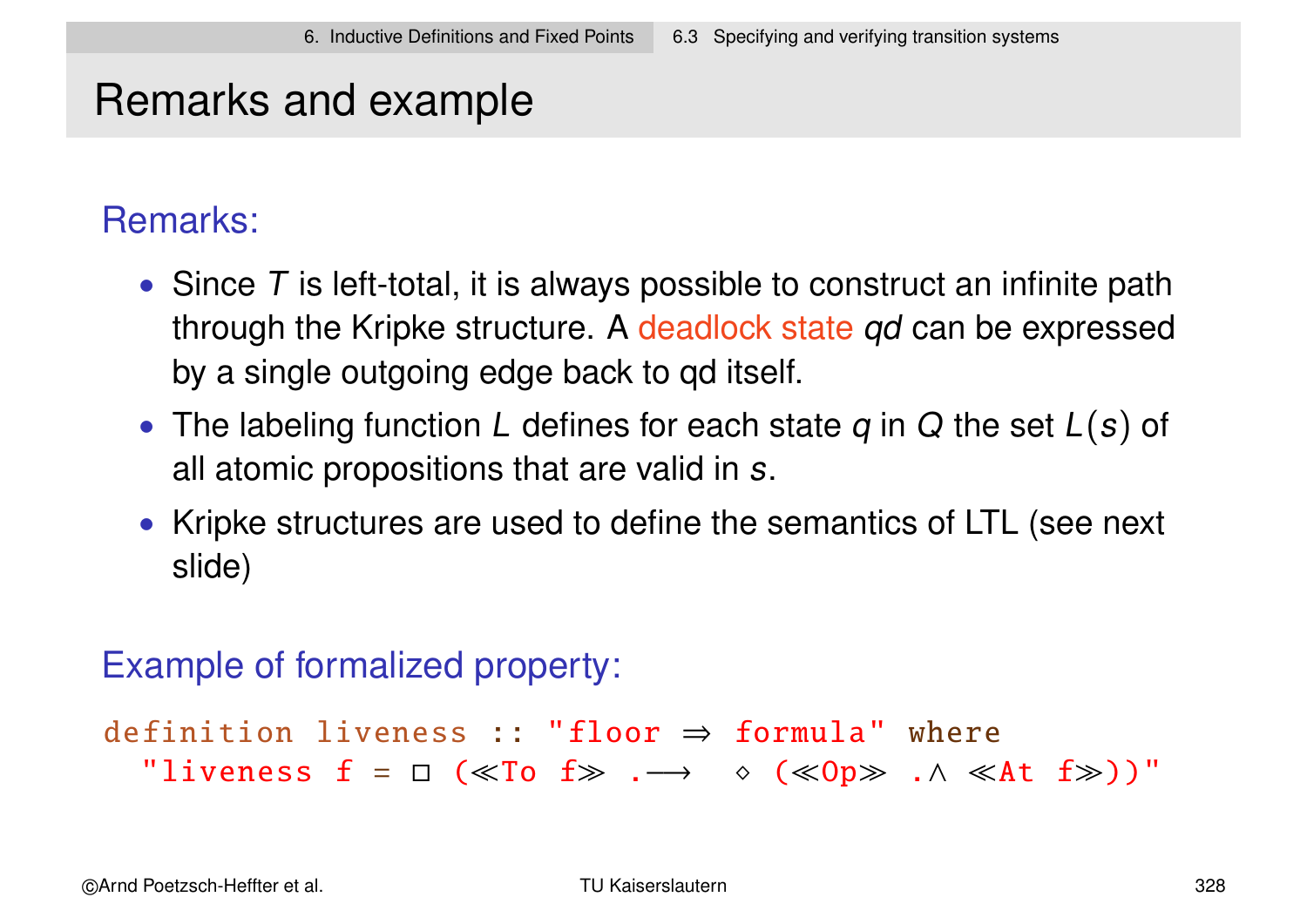# Remarks and example

### Remarks:

- Since  $T$  is left-total, it is always possible to construct an infinite path through the Kripke structure. A deadlock state qd can be expressed by a single outgoing edge back to qd itself.
- The labeling function L defines for each state  $q$  in  $Q$  the set  $L(s)$  of all atomic propositions that are valid in s.
- Kripke structures are used to define the semantics of LTL (see next slide)

### Example of formalized property:

```
definition liveness :: "floor ⇒ formula" where
  "liveness f = \Box (≪To f \gg . \longrightarrow \diamond (≪Op\gg . \land \ll At f \gg))"
```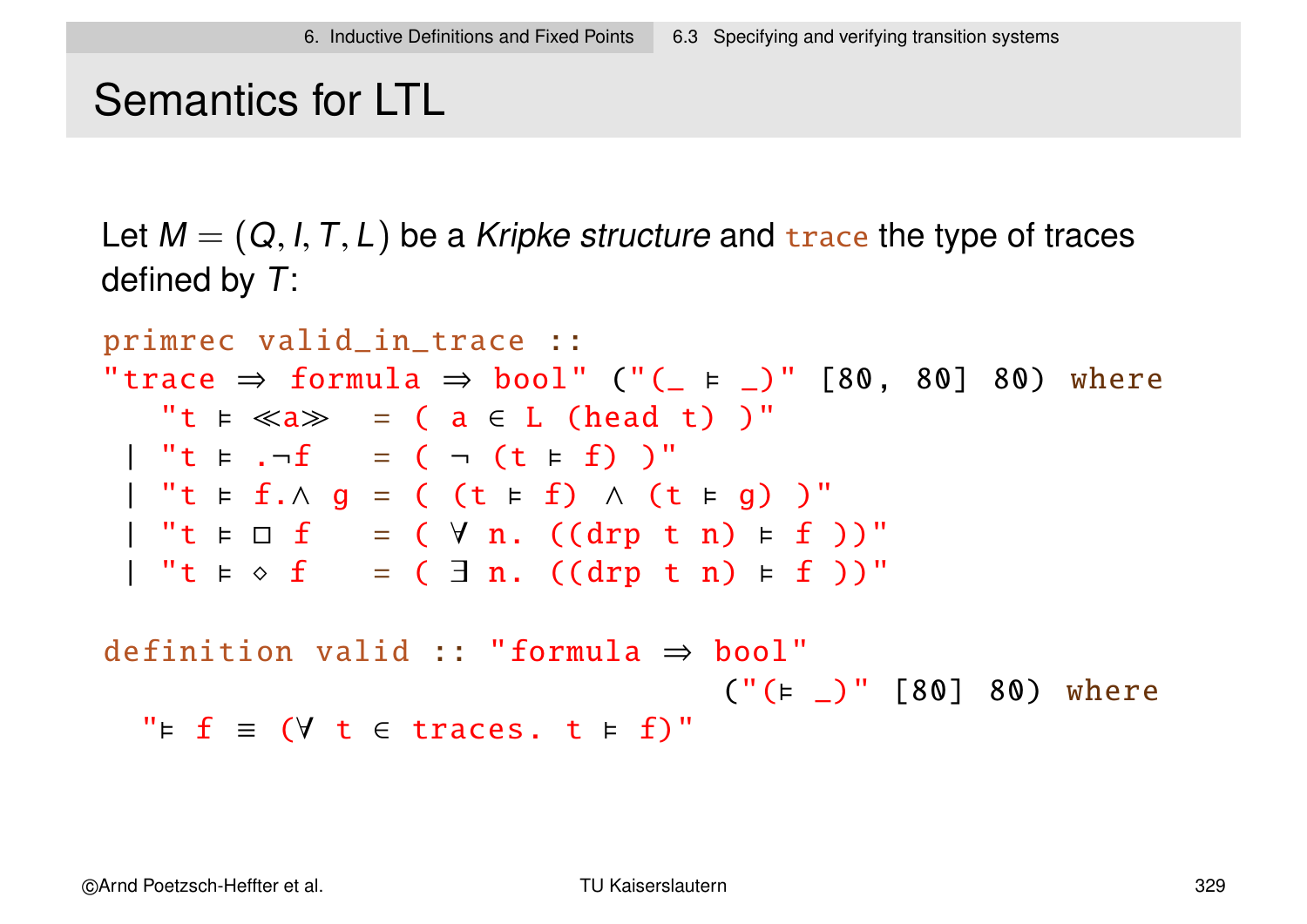# Semantics for LTL

Let  $M = (Q, I, T, L)$  be a Kripke structure and trace the type of traces defined by T:

```
primrec valid_in_trace ::
"trace \Rightarrow formula \Rightarrow bool" ("(_ \models _)" [80, 80] 80) where
    "t \models \ll a \gg = (a \in L \text{ (head t)}')"
   "t \; t \; .\neg f = ( - (t \; t \; f) )"\vert "t \models f.\land g = ( (t \models f) \land (t \models g) )"
 \vert "t \models \Box f = ( \forall n. ((drp t n) \models f ))"
   "t \models \diamond f = ( \exists n. ((drp t n) \models f ))"definition valid :: "formula \Rightarrow bool"
                                               ('(' = _)'' [80] 80) where
```

```
" \vDash f \equiv ( \forall t \in traces. t \vDash f)"
```